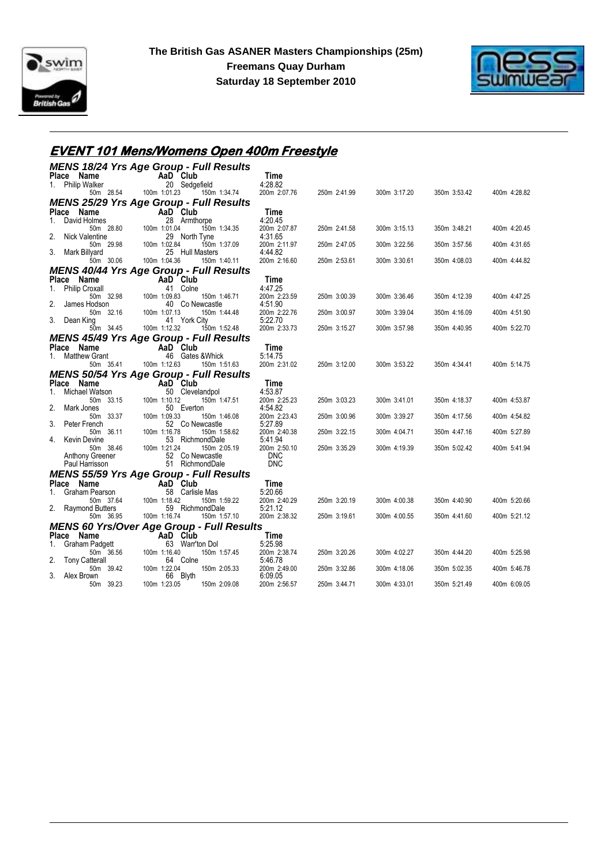



### **EVENT 101 Mens/Womens Open 400m Freestyle**

|    |                                     | <b>MENS 18/24 Yrs Age Group - Full Results</b>             |                            |              |              |              |              |
|----|-------------------------------------|------------------------------------------------------------|----------------------------|--------------|--------------|--------------|--------------|
|    | Place Name                          | AaD Club                                                   | Time                       |              |              |              |              |
|    | 1. Philip Walker                    | 20 Sedgefield                                              | 4:28.82                    |              |              |              |              |
|    | 50m 28.54                           | 100m 1:01.23<br>150m 1:34.74                               | 200m 2:07.76               | 250m 2:41.99 | 300m 3:17.20 | 350m 3:53.42 | 400m 4:28.82 |
|    |                                     | <b>MENS 25/29 Yrs Age Group - Full Results</b>             |                            |              |              |              |              |
| 1. | Place Name<br>David Holmes          | AaD Club<br>28 Armthorpe                                   | Time<br>4:20.45            |              |              |              |              |
|    | 50m 28.80                           | 100m 1:01.04<br>150m 1:34.35                               | 200m 2:07.87               | 250m 2:41.58 | 300m 3:15.13 | 350m 3:48.21 | 400m 4:20.45 |
| 2. | Nick Valentine                      | 29 North Tyne                                              | 4:31.65                    |              |              |              |              |
|    | 50m 29.98                           | 100m 1:02.84<br>150m 1:37.09                               | 200m 2:11.97               | 250m 2:47.05 | 300m 3:22.56 | 350m 3:57.56 | 400m 4:31.65 |
| 3. | Mark Billyard                       | 25 Hull Masters                                            | 4:44.82                    |              |              |              |              |
|    | 50m 30.06                           | 100m 1:04.36<br>150m 1:40.11                               | 200m 2:16.60               | 250m 2:53.61 | 300m 3:30.61 | 350m 4:08.03 | 400m 4:44.82 |
|    |                                     | <b>MENS 40/44 Yrs Age Group - Full Results</b><br>AaD Club |                            |              |              |              |              |
| 1. | Place Name<br><b>Philip Croxall</b> | 41 Colne                                                   | Time<br>4:47.25            |              |              |              |              |
|    | 50m 32.98                           | 100m 1:09.83<br>150m 1:46.71                               | 200m 2:23.59               | 250m 3:00.39 | 300m 3:36.46 | 350m 4:12.39 | 400m 4:47.25 |
| 2. | James Hodson                        | 40 Co Newcastle                                            | 4:51.90                    |              |              |              |              |
|    | 50m 32.16                           | 100m 1:07.13<br>150m 1:44.48                               | 200m 2:22.76               | 250m 3:00.97 | 300m 3:39.04 | 350m 4:16.09 | 400m 4:51.90 |
| 3. | Dean King<br>50m 34.45              | 41 York City<br>100m 1:12.32<br>150m 1:52.48               | 5:22.70<br>200m 2:33.73    | 250m 3:15.27 | 300m 3:57.98 | 350m 4:40.95 | 400m 5:22.70 |
|    |                                     | <b>MENS 45/49 Yrs Age Group - Full Results</b>             |                            |              |              |              |              |
|    | Place Name                          | AaD Club                                                   | Time                       |              |              |              |              |
| 1. | <b>Matthew Grant</b>                | 46 Gates & Whick                                           | 5:14.75                    |              |              |              |              |
|    | 50m 35.41                           | 100m 1:12.63<br>150m 1:51.63                               | 200m 2:31.02               | 250m 3:12.00 | 300m 3:53.22 | 350m 4:34.41 | 400m 5:14.75 |
|    |                                     | <b>MENS 50/54 Yrs Age Group - Full Results</b>             |                            |              |              |              |              |
|    | Place Name                          | AaD Club                                                   | Time                       |              |              |              |              |
| 1. | Michael Watson                      | 50 Clevelandpol                                            | 4:53.87                    |              |              |              |              |
| 2. | 50m 33.15                           | 100m 1:10.12<br>150m 1:47.51<br>50 Everton                 | 200m 2:25.23<br>4:54.82    | 250m 3:03.23 | 300m 3:41.01 | 350m 4:18.37 | 400m 4:53.87 |
|    | Mark Jones<br>50m 33.37             | 100m 1:09.33<br>150m 1:46.08                               | 200m 2:23.43               | 250m 3:00.96 | 300m 3:39.27 | 350m 4:17.56 | 400m 4:54.82 |
| 3. | Peter French                        | 52 Co Newcastle                                            | 5:27.89                    |              |              |              |              |
|    | 50m 36.11                           | 100m 1:16.78<br>150m 1:58.62                               | 200m 2:40.38               | 250m 3:22.15 | 300m 4:04.71 | 350m 4:47.16 | 400m 5:27.89 |
| 4. | <b>Kevin Devine</b>                 | 53 RichmondDale                                            | 5:41.94                    |              |              |              |              |
|    | 50m 38.46<br>Anthony Greener        | 100m 1:21.24<br>150m 2:05.19<br>52 Co Newcastle            | 200m 2:50.10<br><b>DNC</b> | 250m 3:35.29 | 300m 4:19.39 | 350m 5:02.42 | 400m 5:41.94 |
|    | Paul Harrisson                      | 51 RichmondDale                                            | <b>DNC</b>                 |              |              |              |              |
|    |                                     | <b>MENS 55/59 Yrs Age Group - Full Results</b>             |                            |              |              |              |              |
|    | Place Name                          | AaD Club                                                   | Time                       |              |              |              |              |
| 1. | Graham Pearson                      | 58 Carlisle Mas                                            | 5:20.66                    |              |              |              |              |
|    | 50m 37.64                           | 100m 1:18.42<br>150m 1:59.22                               | 200m 2:40.29               | 250m 3:20.19 | 300m 4:00.38 | 350m 4:40.90 | 400m 5:20.66 |
| 2. | Raymond Butters<br>50m 36.95        | 59 RichmondDale<br>100m 1:16.74<br>150m 1:57.10            | 5:21.12<br>200m 2:38.32    | 250m 3:19.61 | 300m 4:00.55 | 350m 4:41.60 | 400m 5:21.12 |
|    |                                     | <b>MENS 60 Yrs/Over Age Group - Full Results</b>           |                            |              |              |              |              |
|    | Place Name                          | AaD Club                                                   | Time                       |              |              |              |              |
| 1. | Graham Padgett                      | 63 Warr'ton Dol                                            | 5:25.98                    |              |              |              |              |
|    | 50m 36.56                           | 100m 1:16.40<br>150m 1:57.45                               | 200m 2:38.74               | 250m 3:20.26 | 300m 4:02.27 | 350m 4:44.20 | 400m 5:25.98 |
| 2. | <b>Tony Catterall</b>               | 64 Colne                                                   | 5:46.78                    |              |              |              |              |
|    | 50m 39.42<br>3. Alex Brown          | 100m 1:22.04<br>150m 2:05.33<br>66 Blyth                   | 200m 2:49.00<br>6:09.05    | 250m 3:32.86 | 300m 4:18.06 | 350m 5:02.35 | 400m 5:46.78 |
|    | 50m 39.23                           | 100m 1:23.05<br>150m 2:09.08                               | 200m 2:56.57               | 250m 3:44.71 | 300m 4:33.01 | 350m 5:21.49 | 400m 6:09.05 |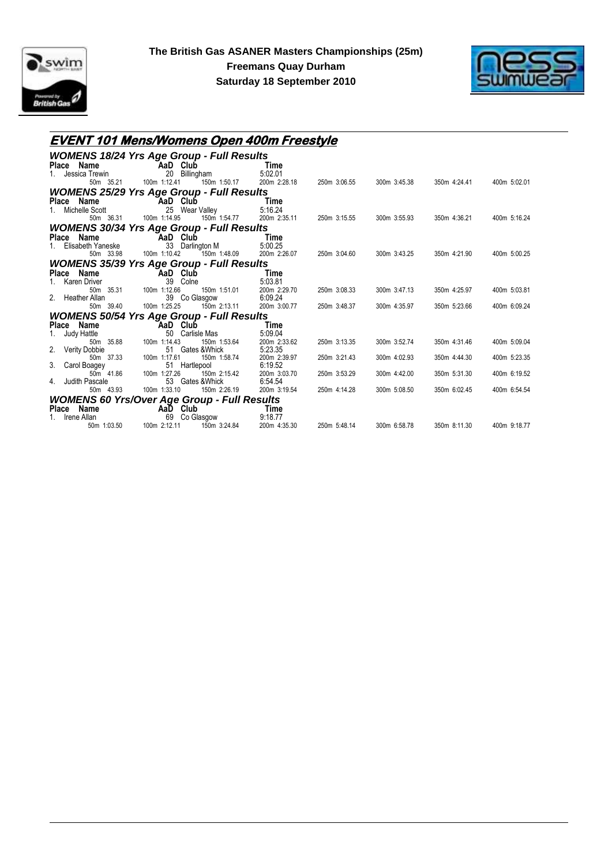



### **EVENT 101 Mens/Womens Open 400m Freestyle**

|                            | <b>WOMENS 18/24 Yrs Age Group - Full Results</b>   |                         |              |              |              |              |
|----------------------------|----------------------------------------------------|-------------------------|--------------|--------------|--------------|--------------|
| Place Name                 | AaD Club                                           | Time                    |              |              |              |              |
| Jessica Trewin             | 20<br>Billingham                                   | 5:02.01                 |              |              |              |              |
| 50m 35.21                  | 100m 1:12.41<br>150m 1:50.17                       | 200m 2:28.18            | 250m 3:06.55 | 300m 3:45.38 | 350m 4:24.41 | 400m 5:02.01 |
|                            | <b>WOMENS 25/29 Yrs Age Group - Full Results</b>   |                         |              |              |              |              |
| Place Name                 | AaD Club                                           | Time                    |              |              |              |              |
| Michelle Scott             | 25 Wear Valley                                     | 5:16.24                 |              |              |              |              |
| 50m 36.31                  | 100m 1:14.95<br>150m 1:54.77                       | 200m 2:35.11            | 250m 3:15.55 | 300m 3:55.93 | 350m 4:36.21 | 400m 5:16.24 |
|                            | <b>WOMENS 30/34 Yrs Age Group - Full Results</b>   |                         |              |              |              |              |
| Place Name                 | AaD Club                                           | Time                    |              |              |              |              |
| Elisabeth Yaneske          | 33<br>Darlington M                                 | 5:00.25                 |              |              |              |              |
| 50m 33.98                  | 150m 1:48.09<br>100m 1:10.42                       | 200m 2:26.07            | 250m 3:04.60 | 300m 3:43.25 | 350m 4:21.90 | 400m 5:00.25 |
|                            | <b>WOMENS 35/39 Yrs Age Group - Full Results</b>   |                         |              |              |              |              |
| Place Name                 | AaD Club                                           | Time                    |              |              |              |              |
| Karen Driver               | 39<br>Colne                                        | 5:03.81                 |              |              |              |              |
| 50m 35.31                  | 100m 1:12.66<br>150m 1:51.01                       | 200m 2:29.70            | 250m 3:08.33 | 300m 3:47.13 | 350m 4:25.97 | 400m 5:03.81 |
| Heather Allan<br>50m 39.40 | 39 Co Glasgow<br>100m 1:25.25<br>150m 2:13.11      | 6:09.24<br>200m 3:00.77 | 250m 3:48.37 | 300m 4:35.97 | 350m 5:23.66 | 400m 6:09.24 |
|                            |                                                    |                         |              |              |              |              |
|                            | <b>WOMENS 50/54 Yrs Age Group - Full Results</b>   |                         |              |              |              |              |
| Place Name                 | AaD Club                                           | Time                    |              |              |              |              |
| Judy Hattle<br>50m 35.88   | Carlisle Mas<br>50<br>100m 1:14.43<br>150m 1:53.64 | 5:09.04<br>200m 2:33.62 | 250m 3:13.35 | 300m 3:52.74 | 350m 4:31.46 | 400m 5:09.04 |
| <b>Verity Dobbie</b>       | Gates &Whick<br>51                                 | 5:23.35                 |              |              |              |              |
| 50m 37.33                  | 100m 1:17.61<br>150m 1:58.74                       | 200m 2:39.97            | 250m 3:21.43 | 300m 4:02.93 | 350m 4:44.30 | 400m 5:23.35 |
| 3.<br>Carol Boagey         | 51 Hartlepool                                      | 6:19.52                 |              |              |              |              |
| 50m 41.86                  | 100m 1:27.26<br>150m 2:15.42                       | 200m 3:03.70            | 250m 3:53.29 | 300m 4:42.00 | 350m 5:31.30 | 400m 6:19.52 |
| Judith Pascale             | 53<br>Gates &Whick                                 | 6:54.54                 |              |              |              |              |
| 50m 43.93                  | 100m 1:33.10<br>150m 2:26.19                       | 200m 3:19.54            | 250m 4:14.28 | 300m 5:08.50 | 350m 6:02.45 | 400m 6:54.54 |
|                            | <b>WOMENS 60 Yrs/Over Age Group - Full Results</b> |                         |              |              |              |              |
| Place Name                 | AaD Club                                           | Time                    |              |              |              |              |
| Irene Allan                | 69<br>Co Glasgow                                   | 9:18.77                 |              |              |              |              |
| 50m 1:03.50                | 100m 2:12.11<br>150m 3:24.84                       | 200m 4:35.30            | 250m 5:48.14 | 300m 6:58.78 | 350m 8:11.30 | 400m 9:18.77 |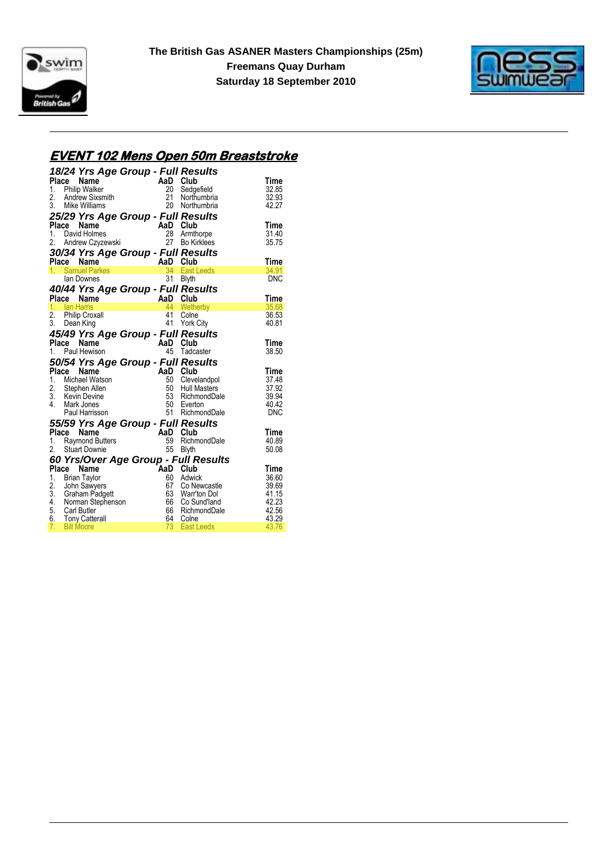



#### **EVENT 102 Mens Open 50m Breaststroke**

|       |       | 18/24 Yrs Age Group - Full Results                               |                       |          |                                      |                |
|-------|-------|------------------------------------------------------------------|-----------------------|----------|--------------------------------------|----------------|
|       |       | Place Name                                                       |                       | AaD Club |                                      | Time           |
|       |       | ace Name<br>Philip Walker<br>Andrew Sixsmith<br>1. Philip Walker |                       | 20       | Sedgefield                           | 32.85          |
| 2.    |       |                                                                  |                       | 21       | Northumbria                          | 32.93          |
|       |       | 3. Mike Williams                                                 |                       | 20       | Northumbria                          | 42.27          |
|       |       | 25/29 Yrs Age Group - Full Results                               |                       |          |                                      |                |
|       | Place | Name                                                             |                       | AaD Club |                                      | Time           |
|       |       | 1. David Holmes                                                  |                       | 28       | Armthorpe                            | 31.40          |
| 2.    |       | Andrew Czyzewski                                                 |                       | 27       | <b>Bo Kirklees</b>                   | 35.75          |
|       |       | 30/34 Yrs Age Group - Full Results                               |                       |          |                                      |                |
|       | Place | Name                                                             | $AaD$<br>$34$<br>$31$ |          | Club                                 | Time           |
|       |       | 1. Samuel Parkes                                                 |                       |          | East Leeds                           | 34.91          |
|       |       | lan Downes                                                       |                       | 31       | <b>Blyth</b>                         | <b>DNC</b>     |
|       |       | 40/44 Yrs Age Group - Full Results                               |                       |          |                                      |                |
|       | Place | Name                                                             | AaD Club              |          |                                      | Time           |
|       |       | 1. Ian Harris                                                    |                       | 44       | Wetherby                             | 35.68          |
| 2.    |       | Philip Croxall                                                   |                       | 41       | Colne                                | 36.53          |
| 3.    |       | Dean King                                                        |                       |          | 41 York City                         | 40.81          |
|       |       | 45/49 Yrs Age Group - Full Results                               |                       |          |                                      |                |
|       | Place | Name                                                             |                       | AaD Club |                                      | Time           |
|       |       | 1. Paul Hewison                                                  |                       | 45       | Tadcaster                            | 38.50          |
|       |       | 50/54 Yrs Age Group - Full Results                               |                       |          |                                      |                |
| Place |       | Name                                                             | AaD                   |          | Club                                 | Time           |
|       |       | 1. Michael Watson                                                |                       | 50       | Clevelandpol                         | 37.48          |
|       |       | 2. Stephen Allen                                                 |                       | 50       | <b>Hull Masters</b>                  | 37.92          |
|       |       | 3. Kevin Devine                                                  |                       | 53       | RichmondDale                         | 39.94          |
|       |       | 4. Mark Jones                                                    |                       | 50       | Everton                              | 40.42          |
|       |       | Paul Harrisson                                                   |                       | 51       | RichmondDale                         | <b>DNC</b>     |
|       |       | 55/59 Yrs Age Group - Full Results                               |                       |          |                                      |                |
|       | Place | Name                                                             |                       | AaD Club |                                      | Time           |
|       |       | 1. Raymond Butters                                               |                       | 59       | RichmondDale                         | 40.89          |
|       |       | 2. Stuart Downie                                                 |                       | 55       | Blyth                                | 50.08          |
|       |       |                                                                  |                       |          | 60 Yrs/Over Age Group - Full Results |                |
|       | Place | Name                                                             |                       | `AaD     | Club                                 | Time           |
| 1.    |       | Brian Taylor                                                     |                       | 60       | Adwick                               | 36.60          |
|       |       | 2. John Sawyers                                                  |                       | 67       | Co Newcastle                         | 39.69          |
|       |       | 3. Graham Padgett<br>4. Norman Stephenson                        |                       | 63       | Warr'ton Dol                         | 41.15<br>42.23 |
|       |       | 5. Carl Butler                                                   |                       | 66       | 66 Co Sund'land<br>RichmondDale      | 42.56          |
|       |       |                                                                  |                       | 64       | Colne                                | 43.29          |
| 7.    |       | 6. Tony Catterall<br><b>Bill Moore</b>                           |                       | 73       | <b>East Leeds</b>                    | 43.76          |
|       |       |                                                                  |                       |          |                                      |                |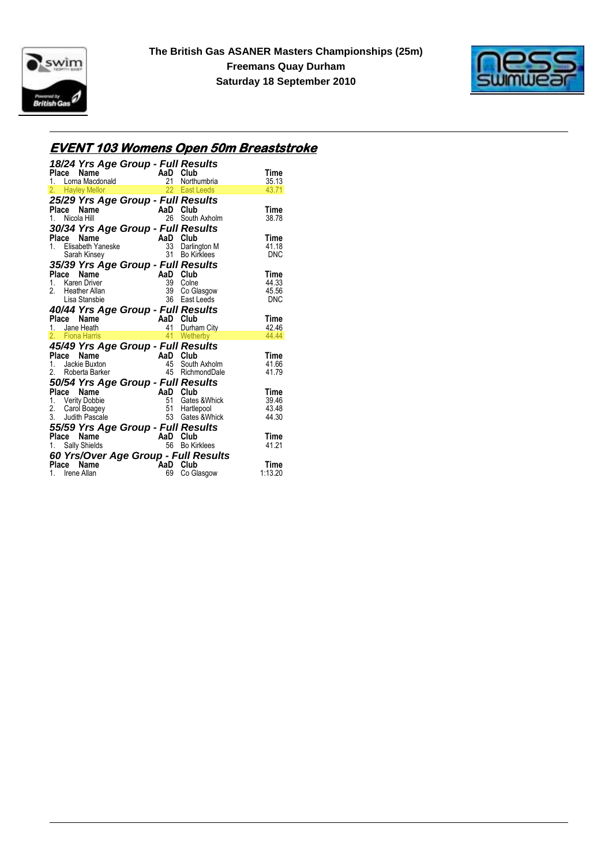



# **EVENT 103 Womens Open 50m Breaststroke**

| 18/24 Yrs Age Group - Full Results<br>10/24 113 Age Street<br>Place Name AaD Club<br>1. Loma Macdonald 21 Northumbria<br>2. Havley Mellor 22 East Leeds                                                                                                                                                                                                                                                                                               |                                    |                                                       | Time                                 |
|-------------------------------------------------------------------------------------------------------------------------------------------------------------------------------------------------------------------------------------------------------------------------------------------------------------------------------------------------------------------------------------------------------------------------------------------------------|------------------------------------|-------------------------------------------------------|--------------------------------------|
|                                                                                                                                                                                                                                                                                                                                                                                                                                                       |                                    | Northumbria                                           | 35.13                                |
|                                                                                                                                                                                                                                                                                                                                                                                                                                                       |                                    |                                                       | 43.71                                |
| 25/29 Yrs Age Group - Full Results<br>Place<br>Name<br>$\mathcal{L} = \frac{1}{2} \sum_{i=1}^{n} \frac{1}{i} \sum_{j=1}^{n} \frac{1}{j} \sum_{j=1}^{n} \frac{1}{j} \sum_{j=1}^{n} \frac{1}{j} \sum_{j=1}^{n} \frac{1}{j} \sum_{j=1}^{n} \frac{1}{j} \sum_{j=1}^{n} \frac{1}{j} \sum_{j=1}^{n} \frac{1}{j} \sum_{j=1}^{n} \frac{1}{j} \sum_{j=1}^{n} \frac{1}{j} \sum_{j=1}^{n} \frac{1}{j} \sum_{j=1}^{n} \frac{1}{j} \sum$<br>Nicola Hill<br>$1_{-}$ | AaD Club<br>26                     | South Axholm                                          | Time<br>38.78                        |
| 30/34 Yrs Age Group - Full Results                                                                                                                                                                                                                                                                                                                                                                                                                    |                                    |                                                       |                                      |
| Name<br>Place<br>1. Elisabeth Yaneske<br>Sarah Kinsey                                                                                                                                                                                                                                                                                                                                                                                                 | AaD Club<br>33 Darlin<br>31 Bo Kir | 33 Darlington M<br>31 Bo Kirklees                     | Time<br>41.18<br>DNC                 |
| 35/39 Yrs Age Group - Full Results                                                                                                                                                                                                                                                                                                                                                                                                                    |                                    |                                                       |                                      |
| AaD Club<br>$\frac{39}{39}$ Colne<br>Place<br>Name<br>1. Karen Driver<br>2.<br><b>Heather Allan</b><br>Lisa Stansbie                                                                                                                                                                                                                                                                                                                                  |                                    | 39 Co Glasgow<br>36 East Leeds                        | Time<br>44.33<br>45.56<br><b>DNC</b> |
| 40/44 Yrs Age Group - Full Results                                                                                                                                                                                                                                                                                                                                                                                                                    |                                    |                                                       |                                      |
| Place Name<br>1. Jane Heath 1. 41 Durha                                                                                                                                                                                                                                                                                                                                                                                                               |                                    |                                                       | Time<br>42.46                        |
| 2. Fiona Harris                                                                                                                                                                                                                                                                                                                                                                                                                                       |                                    | 41 Durham City<br>41 Wetherby                         | 44.44                                |
|                                                                                                                                                                                                                                                                                                                                                                                                                                                       |                                    |                                                       |                                      |
| 45/49 Yrs Age Group - Full Results<br>Place<br>Name                                                                                                                                                                                                                                                                                                                                                                                                   |                                    |                                                       | Time                                 |
| Jackie Buxton<br>1.                                                                                                                                                                                                                                                                                                                                                                                                                                   |                                    |                                                       | 41.66                                |
| 2. Roberta Barker                                                                                                                                                                                                                                                                                                                                                                                                                                     |                                    | <b>AaD Club</b><br>45 South Axholm<br>15 RichmondDale | 41.79                                |
| 50/54 Yrs Age Group - Full Results                                                                                                                                                                                                                                                                                                                                                                                                                    |                                    |                                                       |                                      |
| Place Name                                                                                                                                                                                                                                                                                                                                                                                                                                            |                                    | AaD Club<br>51 Gates & WI<br>51 Hartlepool            | Time                                 |
| 1. Verity Dobbie                                                                                                                                                                                                                                                                                                                                                                                                                                      |                                    | Gates & Whick                                         | 39.46                                |
| 2. Carol Boagey                                                                                                                                                                                                                                                                                                                                                                                                                                       |                                    |                                                       | 43.48                                |
| 3. Judith Pascale                                                                                                                                                                                                                                                                                                                                                                                                                                     |                                    | 53 Gates & Whick                                      | 44.30                                |
| 55/59 Yrs Age Group - Full Results                                                                                                                                                                                                                                                                                                                                                                                                                    |                                    |                                                       |                                      |
| Place<br>Name<br>1. Sally Shields                                                                                                                                                                                                                                                                                                                                                                                                                     | AaD Club                           | 56 Bo Kirklees                                        | Time<br>41.21                        |
|                                                                                                                                                                                                                                                                                                                                                                                                                                                       |                                    |                                                       |                                      |
| 60 Yrs/Over Age Group - Full Results<br>Place<br>Name                                                                                                                                                                                                                                                                                                                                                                                                 | AaD                                | Club                                                  | Time                                 |
| 1. Irene Allan                                                                                                                                                                                                                                                                                                                                                                                                                                        | 69                                 | Co Glasgow                                            | 1:13.20                              |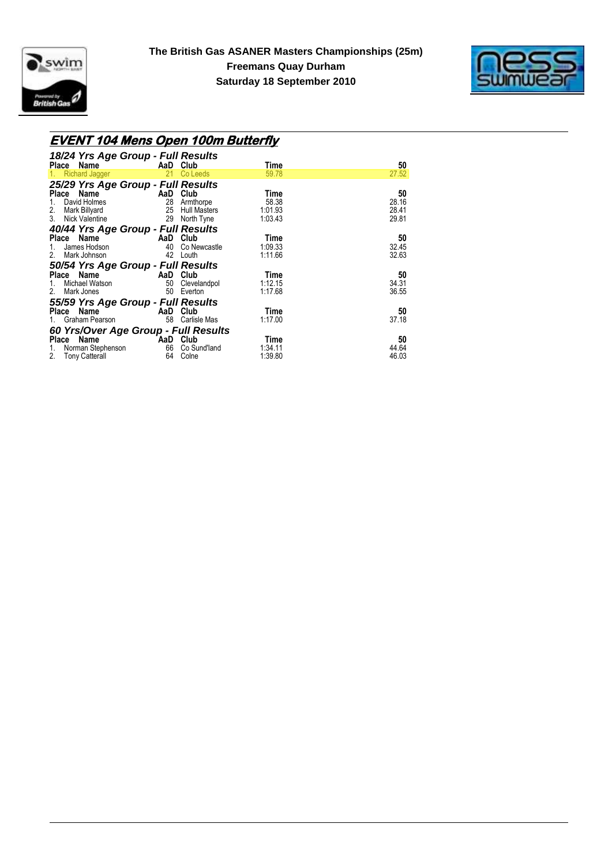



### **EVENT 104 Mens Open 100m Butterfly**

| 18/24 Yrs Age Group - Full Results    |    |                     |         |       |
|---------------------------------------|----|---------------------|---------|-------|
| Place Name                            |    | AaD Club            | Time    | 50    |
| Richard Jagger<br>1.                  | 21 | Co Leeds            | 59.78   | 27.52 |
| 25/29 Yrs Age Group - Full Results    |    |                     |         |       |
| Place Name                            |    | AaD Club            | Time    | 50    |
| David Holmes                          |    | 28 Armthorpe        | 58.38   | 28.16 |
| 2.<br>Mark Billyard                   | 25 | <b>Hull Masters</b> | 1:01.93 | 28.41 |
| 3.<br>Nick Valentine                  | 29 | North Tyne          | 1:03.43 | 29.81 |
| 40/44 Yrs Age Group - Full Results    |    |                     |         |       |
| Place Name                            |    | AaD Club            | Time    | 50    |
| James Hodson<br>1.                    |    | 40 Co Newcastle     | 1:09.33 | 32.45 |
| Mark Johnson<br>2.                    |    | 42 Louth            | 1:11.66 | 32.63 |
| 50/54 Yrs Age Group - Full Results    |    |                     |         |       |
| Place Name<br>and the contract of AaD |    | Club                | Time    | 50    |
| Michael Watson<br>1.                  |    | 50 Clevelandpol     | 1:12.15 | 34.31 |
| Mark Jones<br>2.                      | 50 | Everton             | 1:17.68 | 36.55 |
| 55/59 Yrs Age Group - Full Results    |    |                     |         |       |
| Place Name                            |    | AaD Club            | Time    | 50    |
| Graham Pearson<br>1.                  | 58 | Carlisle Mas        | 1:17.00 | 37.18 |
|                                       |    |                     |         |       |
| 60 Yrs/Over Age Group - Full Results  |    |                     |         |       |
| Place Name                            |    | AaD Club            | Time    | 50    |
| Norman Stephenson<br>1.               |    | 66 Co Sund'land     | 1:34.11 | 44.64 |
| 2. Tony Catterall                     | 64 | Colne               | 1:39.80 | 46.03 |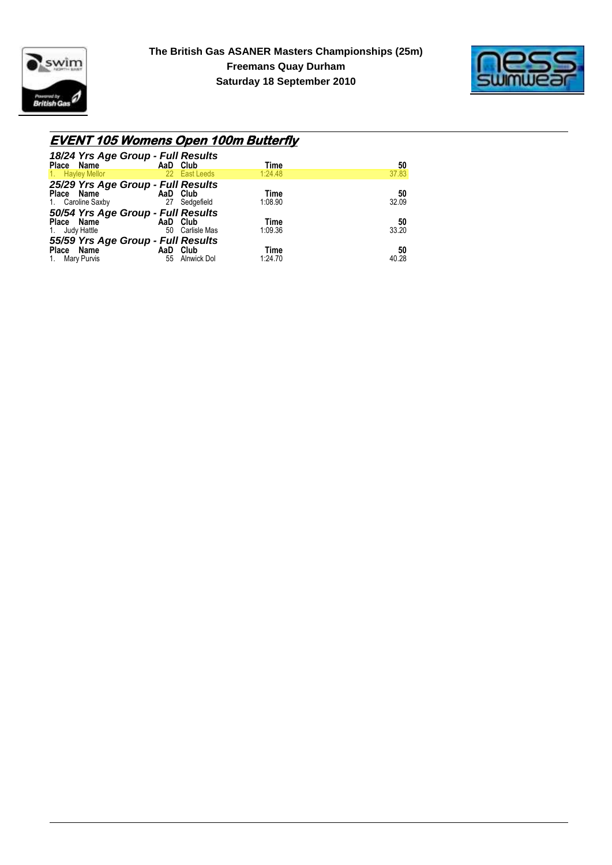



### **EVENT 105 Womens Open 100m Butterfly**

| 18/24 Yrs Age Group - Full Results<br>Place Name | AaD Club |               | Time    | 50    |
|--------------------------------------------------|----------|---------------|---------|-------|
| 1. Hayley Mellor                                 |          | 22 East Leeds | 1:24.48 | 37.83 |
| 25/29 Yrs Age Group - Full Results               |          |               |         |       |
| Place Name                                       | AaD Club |               | Time    | 50    |
| 1. Caroline Saxby                                | 27       | Sedgefield    | 1:08.90 | 32.09 |
| 50/54 Yrs Age Group - Full Results               |          |               |         |       |
| Place Name                                       | AaD Club |               | Time    | 50    |
| 1. Judy Hattle                                   | 50       | Carlisle Mas  | 1:09.36 | 33.20 |
| 55/59 Yrs Age Group - Full Results               |          |               |         |       |
| Place Name                                       | AaD      | Club          | Time    | 50    |
| 1. Mary Purvis                                   | 55       | Alnwick Dol   | 1:24.70 | 40.28 |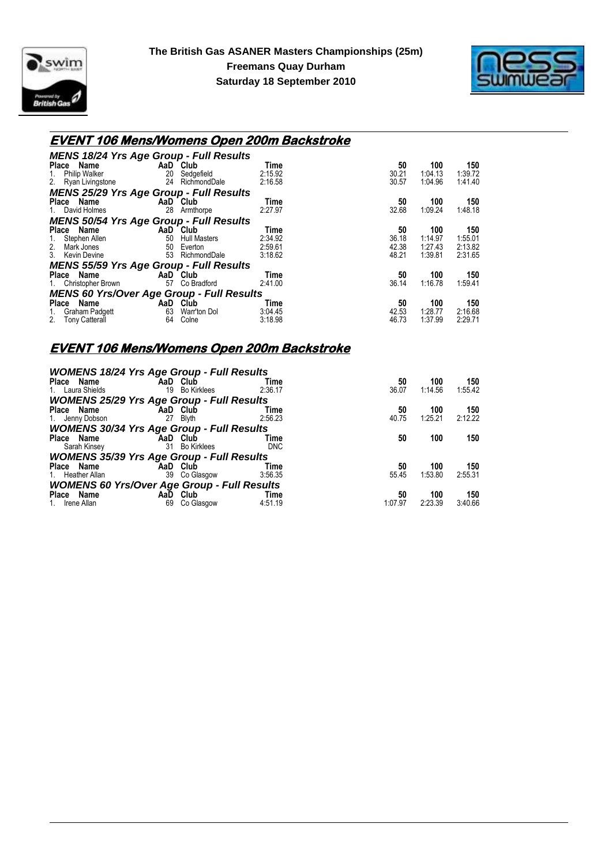



#### **EVENT 106 Mens/Womens Open 200m Backstroke**

| <b>MENS 18/24 Yrs Age Group - Full Results</b>   |                           |                     |         |       |         |         |
|--------------------------------------------------|---------------------------|---------------------|---------|-------|---------|---------|
| Place Name                                       |                           | AaD Club            | Time    | 50    | 100     | 150     |
| Philip Walker<br>1.                              | 20                        | Sedgefield          | 2:15.92 | 30.21 | 1:04.13 | 1:39.72 |
| 2. Ryan Livingstone                              |                           | 24 RichmondDale     | 2:16.58 | 30.57 | 1:04.96 | 1:41.40 |
| <b>MENS 25/29 Yrs Age Group - Full Results</b>   |                           |                     |         |       |         |         |
| Place Name                                       | <b>Example 2</b> AaD Club |                     | Time    | 50    | 100     | 150     |
| 1. David Holmes                                  | 28                        | Armthorpe           | 2:27.97 | 32.68 | 1:09.24 | 1:48.18 |
| <b>MENS 50/54 Yrs Age Group - Full Results</b>   |                           |                     |         |       |         |         |
| Place Name                                       |                           | AaD Club            | Time    | 50    | 100     | 150     |
| Stephen Allen<br>1.                              | 50                        | <b>Hull Masters</b> | 2:34.92 | 36.18 | 1:14.97 | 1:55.01 |
| 2.<br>Mark Jones                                 | 50                        | Everton             | 2:59.61 | 42.38 | 1:27.43 | 2:13.82 |
| 3. Kevin Devine                                  | 53                        | RichmondDale        | 3:18.62 | 48.21 | 1:39.81 | 2:31.65 |
| <b>MENS 55/59 Yrs Age Group - Full Results</b>   |                           |                     |         |       |         |         |
| Place Name                                       |                           | AaD Club            | Time    | 50    | 100     | 150     |
| 1. Christopher Brown                             | 57                        | Co Bradford         | 2:41.00 | 36.14 | 1:16.78 | 1:59.41 |
| <b>MENS 60 Yrs/Over Age Group - Full Results</b> |                           |                     |         |       |         |         |
| Place<br>Name                                    | AaD                       | Club                | Time    | 50    | 100     | 150     |
| Graham Padgett<br>1.                             | 63                        | Warr'ton Dol        | 3:04.45 | 42.53 | 1:28.77 | 2:16.68 |
| <b>Tony Catterall</b><br>2.                      | 64                        | Colne               | 3:18.98 | 46.73 | 1:37.99 | 2:29.71 |

#### **EVENT 106 Mens/Womens Open 200m Backstroke**

| <b>WOMENS 18/24 Yrs Age Group - Full Results</b>   |          |                    |            |         |         |         |
|----------------------------------------------------|----------|--------------------|------------|---------|---------|---------|
| Place Name                                         | AaD Club |                    | Time       | 50      | 100     | 150     |
| 1. Laura Shields                                   | 19       | <b>Bo Kirklees</b> | 2:36.17    | 36.07   | 1:14.56 | 1:55.42 |
| <b>WOMENS 25/29 Yrs Age Group - Full Results</b>   |          |                    |            |         |         |         |
| Place Name                                         | AaD Club |                    | Time       | 50      | 100     | 150     |
| 1. Jenny Dobson                                    | 27       | Blyth              | 2:56.23    | 40.75   | 1:25.21 | 2:12.22 |
| <b>WOMENS 30/34 Yrs Age Group - Full Results</b>   |          |                    |            |         |         |         |
| Place Name                                         | AaD Club |                    | Time       | 50      | 100     | 150     |
| Sarah Kinsey                                       | 31       | <b>Bo Kirklees</b> | <b>DNC</b> |         |         |         |
| <b>WOMENS 35/39 Yrs Age Group - Full Results</b>   |          |                    |            |         |         |         |
| Place Name                                         | AaD Club |                    | Time       | 50      | 100     | 150     |
| 1. Heather Allan                                   |          | 39 Co Glasgow      | 3:56.35    | 55.45   | 1:53.80 | 2:55.31 |
| <b>WOMENS 60 Yrs/Over Age Group - Full Results</b> |          |                    |            |         |         |         |
| Place Name                                         | AaD Club |                    | Time       | 50      | 100     | 150     |
| 1. Irene Allan                                     | 69       | Co Glasgow         | 4:51.19    | 1.07.97 | 2:23.39 | 3:40.66 |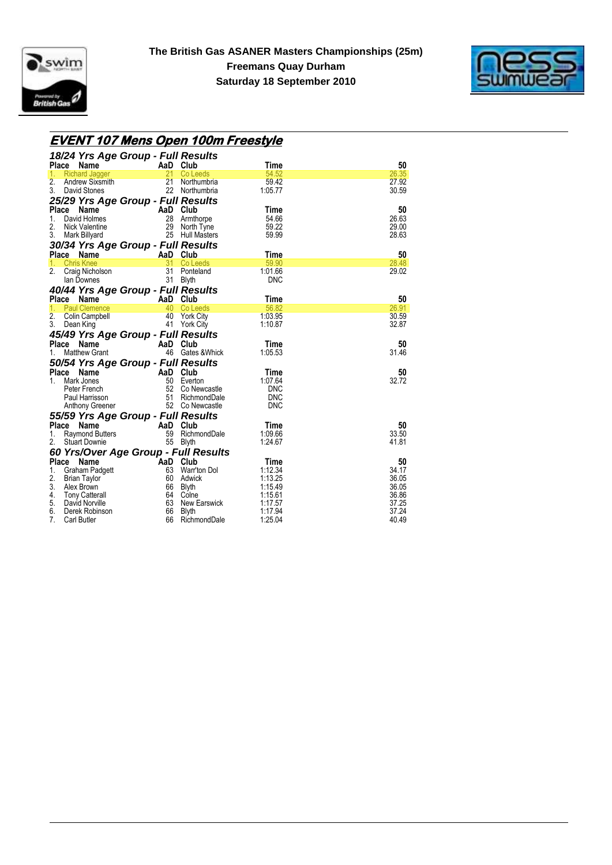



### **EVENT 107 Mens Open 100m Freestyle**

| 18/24 Yrs Age Group - Full Results                          |           |                                 |                          |                |
|-------------------------------------------------------------|-----------|---------------------------------|--------------------------|----------------|
| Place<br>Name                                               | AaD       | Club                            | Time                     | 50             |
| 1.<br><b>Richard Jagger</b>                                 | 21        | Co Leeds                        | 54.52                    | 26.35          |
| 2.<br>Andrew Sixsmith                                       | 21        | Northumbria                     | 59.42                    | 27.92          |
| 3.<br>David Stones                                          |           | 22 Northumbria                  | 1:05.77                  | 30.59          |
| 25/29 Yrs Age Group - Full Results                          |           |                                 |                          |                |
| Place Name                                                  | AaD       | Club                            | Time                     | 50             |
| 1.<br>David Holmes                                          | 28        | Armthorpe                       | 54.66                    | 26.63          |
| 2.<br>Nick Valentine                                        | 29        | North Tyne                      | 59.22                    | 29.00          |
| 3.<br>Mark Billyard                                         |           | 25 Hull Masters                 | 59.99                    | 28.63          |
| 30/34 Yrs Age Group - Full Results                          |           |                                 |                          |                |
| Place<br>Name                                               | AaD       | Club                            | Time                     | 50             |
| <b>Chris Knee</b><br>1.                                     | 31        | Co Leeds                        | 59.90                    | 28.48          |
| 2.<br>Craig Nicholson                                       | 31        | Ponteland                       | 1:01.66                  | 29.02          |
| lan Downes                                                  | 31        | <b>Blyth</b>                    | <b>DNC</b>               |                |
| 40/44 Yrs Age Group - Full Results                          |           |                                 |                          |                |
| Place Name                                                  | AaD       | Club                            | Time                     | 50             |
| <b>Paul Clemence</b><br>1.                                  | 40        | Co Leeds                        | 56.82                    | 26.91          |
| 2.<br>Colin Campbell<br>3.                                  | 40        | <b>York City</b>                | 1:03.95                  | 30.59<br>32.87 |
| Dean King                                                   | 41        | <b>York City</b>                | 1:10.87                  |                |
| 45/49 Yrs Age Group - Full Results                          |           |                                 |                          |                |
| Place Name                                                  | AaD       | Club                            | Time                     | 50             |
| <b>Matthew Grant</b><br>1.                                  |           | 46 Gates & Whick                | 1:05.53                  | 31.46          |
| 50/54 Yrs Age Group - Full Results                          |           |                                 |                          |                |
| Place Name                                                  | AaD       | Club                            | Time                     | 50             |
| Mark Jones<br>1.                                            |           | 50 Everton                      | 1:07.64                  | 32.72          |
| Peter French                                                | 51        | 52 Co Newcastle<br>RichmondDale | <b>DNC</b><br><b>DNC</b> |                |
| Paul Harrisson<br>Anthony Greener                           |           | 52 Co Newcastle                 | <b>DNC</b>               |                |
|                                                             |           |                                 |                          |                |
| 55/59 Yrs Age Group - Full Results                          |           |                                 |                          |                |
| <b>Place</b><br><b>Name</b><br>1.<br><b>Raymond Butters</b> | AaD<br>59 | Club<br>RichmondDale            | Time<br>1:09.66          | 50<br>33.50    |
| 2.<br><b>Stuart Downie</b>                                  | 55        | <b>Blyth</b>                    | 1:24.67                  | 41.81          |
|                                                             |           |                                 |                          |                |
| 60 Yrs/Over Age Group - Full Results<br>Place<br>Name       | AaD       | Club                            | Time                     | 50             |
| 1.<br><b>Graham Padgett</b>                                 | 63        | Warr'ton Dol                    | 1:12.34                  | 34.17          |
| 2.<br><b>Brian Taylor</b>                                   |           | 60 Adwick                       | 1:13.25                  | 36.05          |
| 3.<br>Alex Brown                                            | 66        | Blyth                           | 1:15.49                  | 36.05          |
| 4.<br><b>Tony Catterall</b>                                 | 64        | Colne                           | 1:15.61                  | 36.86          |
| 5.<br>David Norville                                        |           | 63 New Earswick                 | 1:17.57                  | 37.25          |
| 6.<br>Derek Robinson                                        | 66        | Blyth                           | 1:17.94                  | 37.24          |
| 7 <sub>1</sub><br><b>Carl Butler</b>                        | 66        | RichmondDale                    | 1:25.04                  | 40.49          |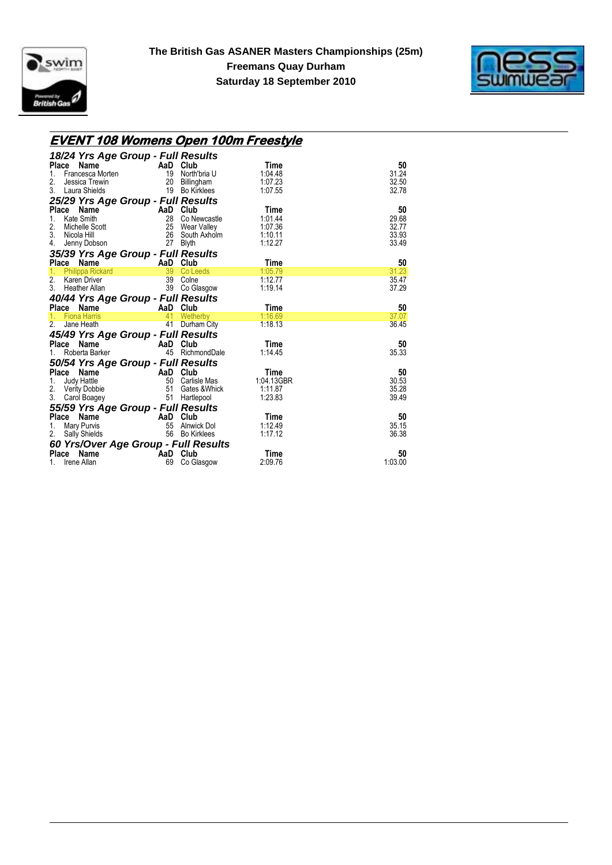



| <u>EVENT 108 Womens Open 100m Freestyle</u>         |                                                                  |                 |                 |               |
|-----------------------------------------------------|------------------------------------------------------------------|-----------------|-----------------|---------------|
| 18/24 Yrs Age Group - Full Results                  |                                                                  |                 |                 |               |
| Place<br>Name                                       | AaD Club                                                         |                 | Time            | 50            |
| Francesca Morten<br>1.                              | $\frac{19}{20}$                                                  | North'bria U    | 1:04.48         | 31.24         |
| 2.<br>Jessica Trewin                                |                                                                  | Billingham      | 1:07.23         | 32.50         |
| 3.<br>Laura Shields                                 |                                                                  | 19 Bo Kirklees  | 1:07.55         | 32.78         |
| 25/29 Yrs Age Group - Full Results                  |                                                                  |                 |                 |               |
| Place Name                                          | AaD Club<br>28 Co Newcastle<br>25 Wear Valley<br>26 South Axholm |                 | Time            | 50            |
| Kate Smith<br>1.                                    |                                                                  |                 | 1:01.44         | 29.68         |
| 2.                                                  |                                                                  |                 | 1:07.36         | 32.77         |
| Michelle Scott<br>Nicola Hill<br>3.<br>Nicola Hill  |                                                                  |                 | 1:10.11         | 33.93         |
| 4.<br>Jenny Dobson                                  | 27                                                               | <b>Blyth</b>    | 1:12.27         | 33.49         |
| 35/39 Yrs Age Group - Full Results                  |                                                                  |                 |                 |               |
| Place Name                                          | <b>Example 2 AaD</b> Club                                        |                 | Time            | 50            |
| Philippa Rickard<br>1.                              | 39                                                               | Co Leeds        | 1:05.79         | 31.23         |
| 2. Karen Driver                                     |                                                                  | 39 Colne        | 1:12.77         | 35.47         |
| 3. Heather Allan                                    | 39                                                               | Co Glasgow      | 1:19.14         | 37.29         |
| 40/44 Yrs Age Group - Full Results                  |                                                                  |                 |                 |               |
|                                                     |                                                                  |                 |                 |               |
|                                                     | AaD Club                                                         |                 | Time            | 50            |
| Place Name<br>1.                                    | 41                                                               | Wetherby        | 1:16.69         | 37.07         |
| <b>Fiona Harris</b><br>2 <sup>1</sup><br>Jane Heath | 41                                                               | Durham City     | 1:18.13         | 36.45         |
|                                                     |                                                                  |                 |                 |               |
| 45/49 Yrs Age Group - Full Results                  |                                                                  |                 |                 |               |
| Place Name                                          | AaD Club                                                         |                 | Time<br>1:14.45 | 50            |
| Roberta Barker<br>1.                                |                                                                  | 45 RichmondDale |                 | 35.33         |
| 50/54 Yrs Age Group - Full Results                  |                                                                  |                 |                 |               |
| Place Name                                          | <b>Example 2</b> AaD Club                                        |                 | Time            | 50            |
| 1.                                                  | 50                                                               | Carlisle Mas    | 1:04.13GBR      | 30.53         |
| Judy Hattle<br>Verity Dobbie<br>2.                  | 51                                                               | Gates & Whick   | 1:11.87         | 35.28         |
| 3.<br>Carol Boagey                                  | 51                                                               | Hartlepool      | 1:23.83         | 39.49         |
| 55/59 Yrs Age Group - Full Results                  |                                                                  |                 |                 |               |
| Place Name                                          |                                                                  |                 | Time            | 50            |
| Mary Purvis<br>1.                                   |                                                                  | Alnwick Dol     | 1:12.49         | 35.15         |
| 2.<br><b>Sally Shields</b>                          |                                                                  | 56 Bo Kirklees  | 1:17.12         | 36.38         |
| 60 Yrs/Over Age Group - Full Results                |                                                                  |                 |                 |               |
| Place<br>Name<br>Irene Allan                        | AaD Club<br>69                                                   | Co Glasgow      | Time<br>2:09.76 | 50<br>1:03.00 |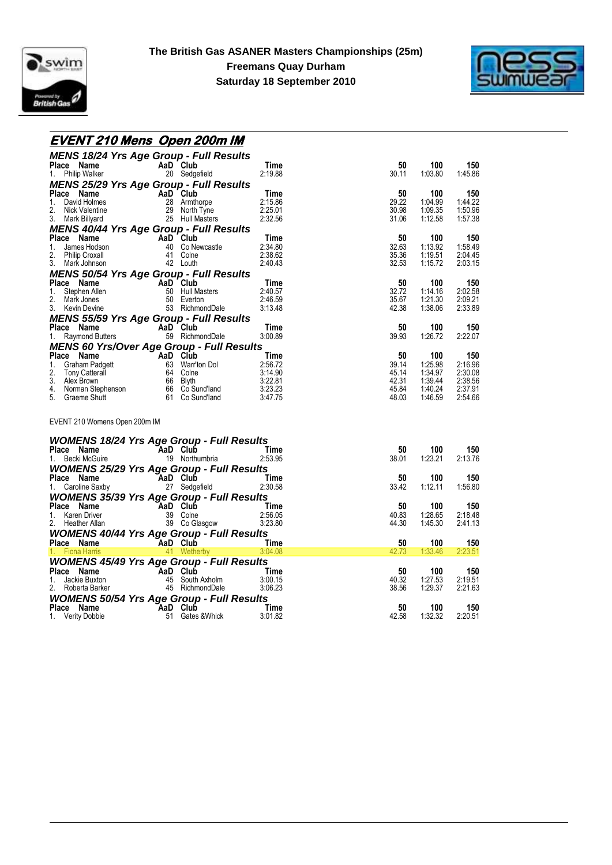



### **EVENT 210 Mens Open 200m IM**

| <b>MENS 18/24 Yrs Age Group - Full Results</b>                                                                                                                                                                                                                                                                                              |                                         |                                                       |                |                    |                    |
|---------------------------------------------------------------------------------------------------------------------------------------------------------------------------------------------------------------------------------------------------------------------------------------------------------------------------------------------|-----------------------------------------|-------------------------------------------------------|----------------|--------------------|--------------------|
| <b>Place Name Manual AaD Club</b><br>1. Philip Walker Manual 20 Sedgefield                                                                                                                                                                                                                                                                  |                                         | Time                                                  | 50             | 100                | 150                |
|                                                                                                                                                                                                                                                                                                                                             |                                         | 2:19.88                                               | 30.11          | 1:03.80            | 1:45.86            |
| <b>MENS 25/29 Yrs Age Group - Full Results</b>                                                                                                                                                                                                                                                                                              |                                         |                                                       |                |                    |                    |
| Place Name<br>1. David Holmes<br>2. Nick Valentine<br>2. Nick Valentine<br>2. Nick Valentine<br>2. Nick Valentine<br>2. Nick Valentine<br>2. Nick Valentine<br>2. Name 2. Nick Valentine<br>2. Nick Valentine<br>2. Nick Valentine<br>2. Nick Valent                                                                                        |                                         |                                                       | 50             | 100                | 150                |
|                                                                                                                                                                                                                                                                                                                                             |                                         |                                                       | 29.22          | 1:04.99            | 1:44.22            |
|                                                                                                                                                                                                                                                                                                                                             |                                         |                                                       | 30.98<br>31.06 | 1:09.35<br>1:12.58 | 1:50.96<br>1:57.38 |
|                                                                                                                                                                                                                                                                                                                                             |                                         |                                                       |                |                    |                    |
| <b>MENS 40/44 Yrs Age Group - Full Results</b>                                                                                                                                                                                                                                                                                              |                                         |                                                       |                |                    |                    |
| Place Name<br>1. James Hodson<br>2. Philip Croxall<br>3. Mark Johnson<br>42 Louth                                                                                                                                                                                                                                                           |                                         | Time<br>2:34.80                                       | 50<br>32.63    | 100<br>1:13.92     | 150<br>1:58.49     |
|                                                                                                                                                                                                                                                                                                                                             |                                         | 2:38.62                                               | 35.36          | 1:19.51            | 2:04.45            |
|                                                                                                                                                                                                                                                                                                                                             | 40 Co Newcastle<br>41 Colne<br>42 Louth | 2:40.43                                               | 32.53          | 1:15.72            | 2:03.15            |
|                                                                                                                                                                                                                                                                                                                                             |                                         |                                                       |                |                    |                    |
| <b>MENS 50/54 Yrs Age Group - Full Results<br/> Place Name AaD Club Time<br/> 1. Stephen Allen 50 Hull Masters<br/> 2. Mark Jones 50 Everton 2:46.59<br/> 3. Kevin Devine 53 RichmondDale 3:13.48</b>                                                                                                                                       |                                         |                                                       | 50             | 100                | 150                |
|                                                                                                                                                                                                                                                                                                                                             |                                         |                                                       | 32.72          | 1:14.16            | 2:02.58            |
|                                                                                                                                                                                                                                                                                                                                             |                                         |                                                       | 35.67          | 1:21.30            | 2:09.21            |
|                                                                                                                                                                                                                                                                                                                                             |                                         |                                                       | 42.38          | 1:38.06            | 2:33.89            |
|                                                                                                                                                                                                                                                                                                                                             |                                         |                                                       |                |                    |                    |
| <b>MENS 55/59 Yrs Age Group - Full Results<br/>Place Name AaD Club<br/>1. Raymond Butters 69 RichmondDale</b>                                                                                                                                                                                                                               |                                         | Time                                                  | 50             | 100                | 150                |
|                                                                                                                                                                                                                                                                                                                                             |                                         | 3:00.89                                               | 39.93          | 1.26.72            | 2:22.07            |
| MENS 60 Yrs/Over Age Group - Full Results                                                                                                                                                                                                                                                                                                   |                                         |                                                       |                |                    |                    |
| <b>Place Name Aan Club</b><br><b>Place Name</b><br><b>Place Name</b><br><b>Place Name</b><br><b>Place Name</b><br><b>Place Name</b><br><b>Place Name</b><br><b>Place Name</b><br><b>Place Name</b><br><b>Place Name</b><br><b>Place Name</b><br><b>Blace</b><br><b>Place Simeles Constant Septenson<br/> <b>Place</b><br/> <b>Place</b></b> |                                         |                                                       | 50             | 100                | 150                |
|                                                                                                                                                                                                                                                                                                                                             |                                         |                                                       | 39.14          | 1:25.98            | 2:16.96            |
|                                                                                                                                                                                                                                                                                                                                             |                                         |                                                       | 45.14          | 1:34.97            | 2:30.08            |
|                                                                                                                                                                                                                                                                                                                                             |                                         |                                                       | 42.31          | 1:39.44            | 2:38.56            |
|                                                                                                                                                                                                                                                                                                                                             |                                         |                                                       | 45.84          | 1:40.24            | 2:37.91            |
|                                                                                                                                                                                                                                                                                                                                             |                                         |                                                       | 48.03          | 1:46.59            | 2:54.66            |
| EVENT 210 Womens Open 200m IM                                                                                                                                                                                                                                                                                                               |                                         |                                                       |                |                    |                    |
| <b>WOMENS 18/24 Yrs Age Group - Full Results</b>                                                                                                                                                                                                                                                                                            |                                         |                                                       |                |                    |                    |
|                                                                                                                                                                                                                                                                                                                                             |                                         | <b>Time</b>                                           | 50             | 100                | 150                |
|                                                                                                                                                                                                                                                                                                                                             |                                         | 2:53.95                                               | 38.01          | 1:23.21            | 2:13.76            |
| <b>WOMENS 25/29 Yrs Age Group - Full Results<br/>Place Name AaD Club Time<br/>1. Caroline Saxby 27 Sedgefield 2:30.58</b>                                                                                                                                                                                                                   |                                         |                                                       |                |                    |                    |
|                                                                                                                                                                                                                                                                                                                                             |                                         |                                                       | 50             | 100                | 150                |
|                                                                                                                                                                                                                                                                                                                                             |                                         |                                                       | 33.42          | 1:12.11            | 1:56.80            |
| <b>WOMENS 35/39 Yrs Age Group - Full Results</b>                                                                                                                                                                                                                                                                                            |                                         |                                                       |                |                    |                    |
|                                                                                                                                                                                                                                                                                                                                             |                                         |                                                       | 50             | 100                | 150                |
|                                                                                                                                                                                                                                                                                                                                             |                                         |                                                       | 40.83          | 1:28.65            | 2:18.48            |
| Place Name AaD Club<br>1. Karen Driver 39 Colne 2:56.05<br>2. Heather Allan 39 Co Glasgow 3:23.80                                                                                                                                                                                                                                           |                                         |                                                       | 44.30          | 1:45.30            | 2:41.13            |
| <b>WOMENS 40/44 Yrs Age Group - Full Results</b>                                                                                                                                                                                                                                                                                            |                                         |                                                       |                |                    |                    |
| Place Name                                                                                                                                                                                                                                                                                                                                  |                                         | <b>Example 2014 AaD Club</b><br>2014 Metherby 3:04.08 | 50             | 100                | 150                |
| 1. Fiona Harris                                                                                                                                                                                                                                                                                                                             | 41 Wetherby                             | 3:04.08                                               | 42.73          | 1:33.46            | 2:23.51            |
| <b>WOMENS 45/49 Yrs Age Group - Full Results</b>                                                                                                                                                                                                                                                                                            |                                         |                                                       |                |                    |                    |
|                                                                                                                                                                                                                                                                                                                                             |                                         | <b>Example 2</b> Time                                 | 50             | 100                | 150                |
|                                                                                                                                                                                                                                                                                                                                             |                                         | 3:00.15                                               | 40.32          | 1:27.53            | 2:19.51            |
| Place Name<br>1. Jackie Buxton<br>1. Jackie Buxton<br>1. AaD Club<br>1. Abotta Barker<br>1. Al-Charles Cout Axholm<br>1. Al-Charles County Apple 1.<br>1. Al-Charles County Apple 1.<br>1. Al-Charles County Apple 1.<br>1. Al-Charles County Ap                                                                                            |                                         | 3:06.23                                               | 38.56          | 1.29.37            | 2:21.63            |
| <b>WOMENS 50/54 Yrs Age Group - Full Results</b>                                                                                                                                                                                                                                                                                            |                                         |                                                       |                |                    |                    |
| Place Name                                                                                                                                                                                                                                                                                                                                  |                                         | <b>AaD Club</b> Time<br>51 Gates & Whick 3:01.82      | 50             | 100                | 150                |
| 1. Verity Dobbie                                                                                                                                                                                                                                                                                                                            |                                         |                                                       | 42.58          | 1:32.32            | 2:20.51            |
|                                                                                                                                                                                                                                                                                                                                             |                                         |                                                       |                |                    |                    |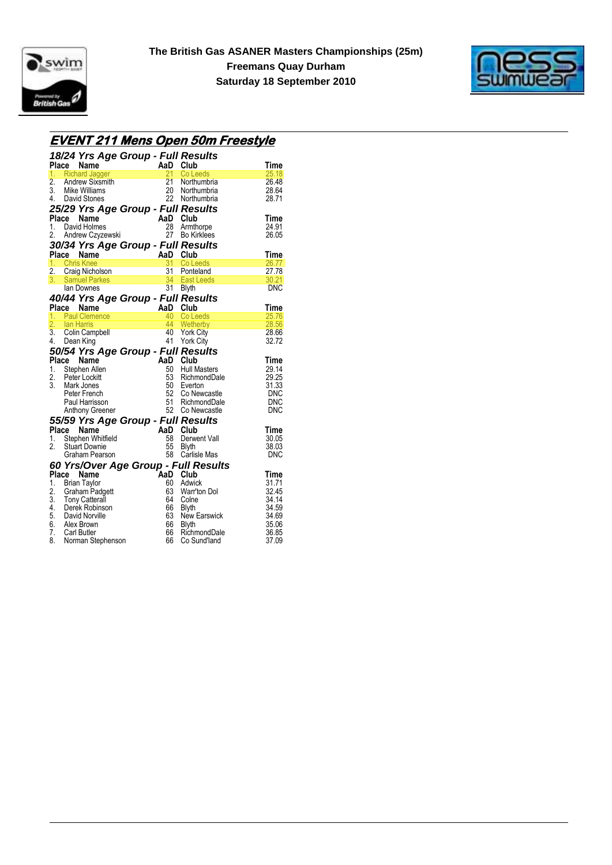



# **EVENT 211 Mens Open 50m Freestyle**

|                |               | 18/24 Yrs Age Group - Full Results<br>Place Name            |           | AaD Club |                                      | Time        |
|----------------|---------------|-------------------------------------------------------------|-----------|----------|--------------------------------------|-------------|
| 1.             |               | <b>Richard Jagger</b>                                       | المستورين | 21       | Co Leeds                             | 25.18       |
| 2.             |               | Richard Jagger<br>Andrew Sixsmith<br>Mike Williams          |           |          | 21 Northumbria                       | 26.48       |
|                |               | 3. Mike Williams                                            |           |          | 20 Northumbria                       | 28.64       |
|                |               | 4. David Stones                                             |           |          | 22 Northumbria                       | 28.71       |
|                |               | 25/29 Yrs Age Group - Full Results                          |           |          |                                      |             |
|                | Place         | Name                                                        |           | AaD Club |                                      | <b>Time</b> |
| 1.             |               | David Holmes                                                |           |          | 28 Armthorpe                         | 24.91       |
|                |               | 2. Andrew Czyzewski                                         |           |          | 27 Bo Kirklees                       | 26.05       |
|                |               | 30/34 Yrs Age Group - Full Results                          |           |          |                                      |             |
|                | Place         | Name                                                        | AaD Club  |          |                                      | Time        |
| 1 <sub>1</sub> |               | <b>Chris Knee</b>                                           |           | 31       | Co Leeds                             | 26.77       |
|                |               | 1. Chris Knee<br>2. Craig Nicholson                         |           |          | 31 Ponteland                         | 27.78       |
|                |               | 3. Samuel Parkes<br>Lan Downes                              |           |          | 34 East Leeds                        | 30.21       |
|                |               | Ian Downes                                                  |           |          | 31 Blyth                             | DNC         |
|                |               | 40/44 Yrs Age Group - Full Results                          |           |          |                                      |             |
|                |               | Place Name                                                  |           | AaD Club |                                      | Time        |
|                |               | 1. Paul Clemence                                            |           |          | 40 Co Leeds                          | 25.76       |
|                | 2. Ian Harris |                                                             |           |          | 44 Wetherby                          | 28.56       |
|                |               | 3. Colin Campbell                                           |           |          | 40 York City                         | 28.66       |
|                |               | 4. Dean King                                                |           |          | 41 York City                         | 32.72       |
|                |               | 50/54 Yrs Age Group - Full Results                          |           |          |                                      |             |
|                |               | Place Name                                                  |           | AaD Club |                                      | Time        |
|                |               | 1. Stephen Allen                                            |           | 50       | <b>Hull Masters</b>                  | 29.14       |
| 2.             |               | Peter Lockitt                                               |           |          | 53 RichmondDale                      | 29.25       |
|                |               | 3. Mark Jones                                               |           |          | 50 Everton                           | 31.33       |
|                |               | Peter French                                                |           | 52       | Co Newcastle                         | <b>DNC</b>  |
|                |               | Paul Harrisson                                              |           |          | 51 RichmondDale                      | <b>DNC</b>  |
|                |               | Anthony Greener                                             |           |          | 52 Co Newcastle                      | <b>DNC</b>  |
|                |               | 55/59 Yrs Age Group - Full Results                          |           |          |                                      |             |
|                | Place         | Name                                                        |           | AaD Club |                                      | Time        |
| 1.             |               | Stephen Whitfield                                           |           | 58       | Derwent Vall                         | 30.05       |
| 2.             |               | <b>Stuart Downie</b>                                        |           | 55       | <b>Blyth</b>                         | 38.03       |
|                |               | Graham Pearson                                              |           |          | 58 Carlisle Mas                      | <b>DNC</b>  |
|                |               |                                                             |           |          | 60 Yrs/Over Age Group - Full Results |             |
|                | Place         | Name                                                        |           | AaD Club |                                      | Time        |
|                |               | 1. Brian Taylor                                             |           | 60       | Adwick                               | 31.71       |
|                |               | 2. Graham Padgett<br>3. Tony Catterall<br>4. Derek Robinson |           |          | 63 Warr'ton Dol                      | 32.45       |
|                |               |                                                             |           | 64       | Colne                                | 34.14       |
|                |               |                                                             |           | 66       | Blyth                                | 34.59       |
|                |               | 5. David Norville                                           |           | 63       | New Earswick                         | 34.69       |
|                |               | 6. Alex Brown                                               |           | 66       | Blyth                                | 35.06       |
|                |               | 7. Carl Butler                                              |           | 66       | RichmondDale                         | 36.85       |
| 8.             |               | Norman Stephenson                                           |           | 66       | Co Sund'land                         | 37.09       |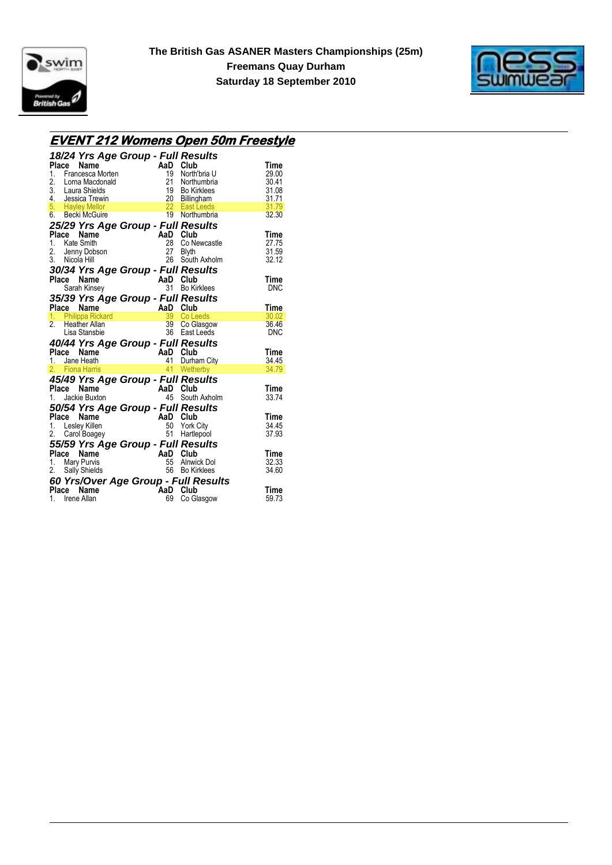



# **EVENT 212 Womens Open 50m Freestyle**

| 18/24 Yrs Age Group - Full Results                                                       |                                        |               |
|------------------------------------------------------------------------------------------|----------------------------------------|---------------|
| Place<br>Name                                                                            | AaD<br>Club                            | Time          |
| $1_{-}$<br>Francesca Morten                                                              | 19<br>North'bria U                     | 29.00         |
| 2.<br>Lorna Macdonald                                                                    | 21<br>Northumbria                      | 30.41         |
| 3. Laura Shields                                                                         | 19<br><b>Bo Kirklees</b>               | 31.08         |
|                                                                                          | $\frac{20}{1}$<br>Billingham           | 31.71         |
| 4. Jessica Trewin<br>5. Hayley Mellor                                                    | 22 East Leeds                          | 31.79         |
| 6. Becki McGuire                                                                         | 19<br>Northumbria                      | 32.30         |
| 25/29 Yrs Age Group - Full Results                                                       |                                        |               |
| Place<br>Name                                                                            | AaD Club                               | Time          |
| 1. Kate Smith                                                                            | 28<br>Co Newcastle                     | 27.75         |
| 2. Jenny Dobson                                                                          | 27<br>Blyth                            | 31.59         |
| 3. Nicola Hill                                                                           | 26<br>South Axholm                     | 32.12         |
|                                                                                          |                                        |               |
| 30/34 Yrs Age Group - Full Results<br>Place<br><b>Name</b>                               |                                        | Time          |
| Sarah Kinsey                                                                             | AaD Club<br>31<br><b>Bo Kirklees</b>   | <b>DNC</b>    |
|                                                                                          |                                        |               |
| 35/39 Yrs Age Group - Full Results                                                       |                                        |               |
| Place                                                                                    |                                        | Time          |
| Philippa Rickard<br>Philippa Rickard<br>Heather Allan<br>Lisa Stanshie<br>19 Co Ch<br>1. | 39 Co Leeds                            | 30.02         |
| 2.<br>Heather Allan                                                                      | 39 Co Glasgow                          | 36.46         |
|                                                                                          | East Leeds                             | <b>DNC</b>    |
| 40/44 Yrs Age Group - Full Results                                                       |                                        |               |
| Place<br>Name                                                                            | AaD Club                               | Time          |
| 1. Jane Heath                                                                            | 41<br>Durham City                      | 34.45         |
| 2. Fiona Harris                                                                          | 41<br>Wetherby                         | 34.79         |
| 45/49 Yrs Age Group - Full Results                                                       |                                        |               |
| Place<br>Name                                                                            | AaD Club                               | Time          |
| Jackie Buxton<br>$1_{-}$                                                                 | 45<br>South Axholm                     | 33.74         |
| 50/54 Yrs Age Group - Full Results                                                       |                                        |               |
| Place<br>Name                                                                            | AaD Club                               | Time          |
| 1.<br>Lesley Killen                                                                      | 50<br><b>York City</b>                 | 34.45         |
| 2. Carol Boagey                                                                          | 51<br>Hartlepool                       | 37.93         |
|                                                                                          |                                        |               |
| 55/59 Yrs Age Group - Full Results                                                       |                                        |               |
| Place<br>Name                                                                            | AaD<br>Club                            | Time          |
| <b>Mary Purvis</b><br>1.                                                                 | 55<br><b>Alnwick Dol</b>               | 32.33         |
| 2. Sally Shields                                                                         | 56 Bo Kirklees                         | 34.60         |
|                                                                                          |                                        |               |
|                                                                                          | 60 Yrs/Over Age Group - Full Results   |               |
| Place<br>Name<br>1.<br>Irene Allan                                                       | <b>AaD</b><br>Club<br>69<br>Co Glasgow | Time<br>59.73 |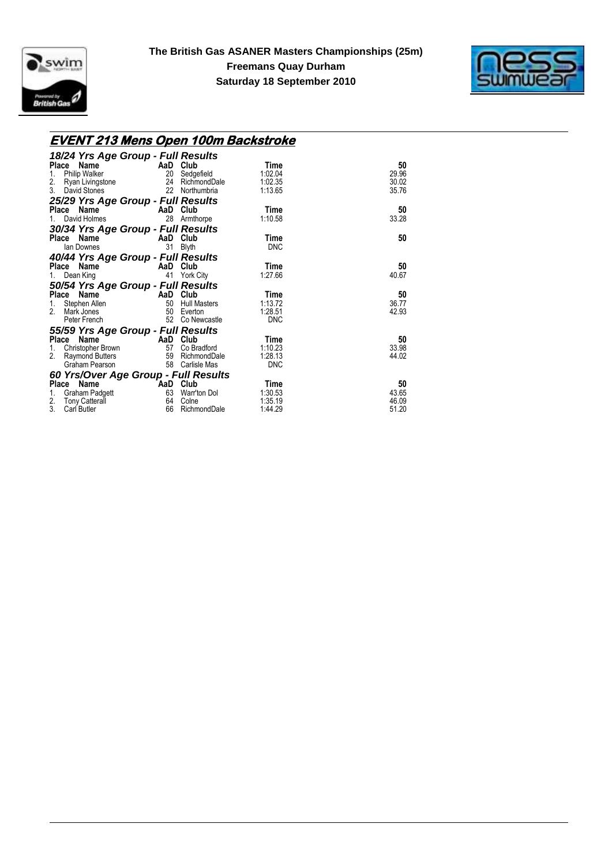



### **EVENT 213 Mens Open 100m Backstroke**

| 18/24 Yrs Age Group - Full Results   |          |                     |            |       |
|--------------------------------------|----------|---------------------|------------|-------|
| Place<br>Name                        | AaD Club |                     | Time       | 50    |
| <b>Philip Walker</b><br>1.           | 20       | Sedgefield          | 1:02.04    | 29.96 |
| 2.<br>Ryan Livingstone               | 24       | RichmondDale        | 1:02.35    | 30.02 |
| 3.<br>David Stones                   | 22       | Northumbria         | 1:13.65    | 35.76 |
| 25/29 Yrs Age Group - Full Results   |          |                     |            |       |
| Place Name                           | AaD Club |                     | Time       | 50    |
| David Holmes                         | 28       | Armthorpe           | 1:10.58    | 33.28 |
| 30/34 Yrs Age Group - Full Results   |          |                     |            |       |
| Place Name                           | AaD      | Club                | Time       | 50    |
| lan Downes                           | 31       | <b>Blyth</b>        | <b>DNC</b> |       |
| 40/44 Yrs Age Group - Full Results   |          |                     |            |       |
| Place Name                           | AaD      | Club                | Time       | 50    |
| Dean King                            | 41       | <b>York City</b>    | 1:27.66    | 40.67 |
| 50/54 Yrs Age Group - Full Results   |          |                     |            |       |
| Place Name                           | AaD      | Club                | Time       | 50    |
| Stephen Allen<br>1.                  | 50       | <b>Hull Masters</b> | 1:13.72    | 36.77 |
| 2.<br>Mark Jones                     | 50       | Everton             | 1:28.51    | 42.93 |
| Peter French                         | 52       | Co Newcastle        | <b>DNC</b> |       |
| 55/59 Yrs Age Group - Full Results   |          |                     |            |       |
| Place<br>Name                        | AaD      | Club                | Time       | 50    |
| Christopher Brown<br>1.              | 57       | Co Bradford         | 1:10.23    | 33.98 |
| 2.<br><b>Raymond Butters</b>         | 59       | RichmondDale        | 1:28.13    | 44.02 |
| Graham Pearson                       | 58       | Carlisle Mas        | <b>DNC</b> |       |
| 60 Yrs/Over Age Group - Full Results |          |                     |            |       |
| Place Name                           | AaD Club |                     | Time       | 50    |
| Graham Padgett<br>1.                 | 63       | Warr'ton Dol        | 1:30.53    | 43.65 |
| 2.<br><b>Tony Catterall</b>          | 64       | Colne               | 1:35.19    | 46.09 |
| 3.<br><b>Carl Butler</b>             | 66       | RichmondDale        | 1:44.29    | 51.20 |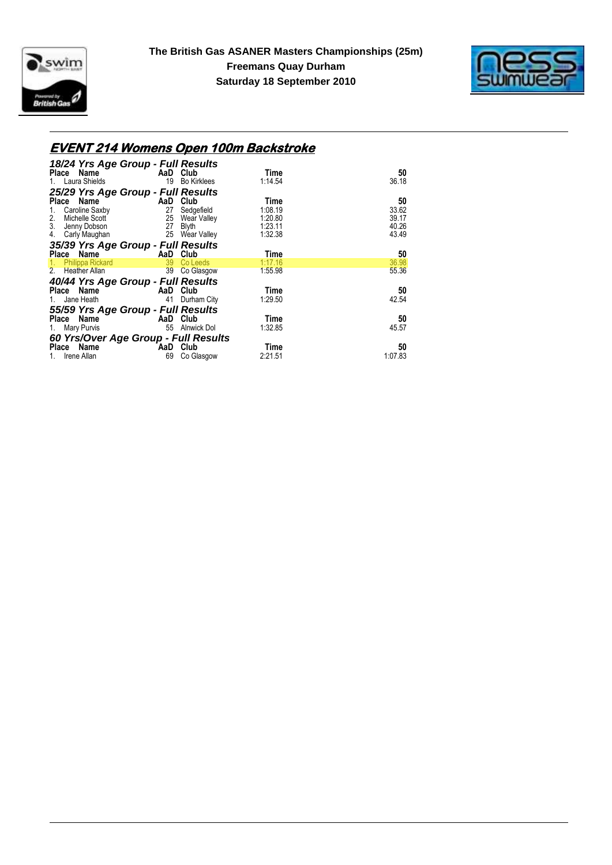



# **EVENT 214 Womens Open 100m Backstroke**

| 18/24 Yrs Age Group - Full Results<br>Place<br>Name |                 | AaD Club           | Time            | 50            |
|-----------------------------------------------------|-----------------|--------------------|-----------------|---------------|
| 1. Laura Shields                                    | 19              | <b>Bo Kirklees</b> | 1:14.54         | 36.18         |
| 25/29 Yrs Age Group - Full Results                  |                 |                    |                 |               |
| Name<br>Place                                       | AaD             | Club               | Time            | 50            |
| Caroline Saxby<br>1.                                | 27              | Sedgefield         | 1:08.19         | 33.62         |
| $\frac{2}{3}$ .<br>Michelle Scott                   |                 | 25 Wear Valley     | 1:20.80         | 39.17         |
| Jenny Dobson                                        | 27              | Blyth              | 1:23.11         | 40.26         |
| 4.<br>Carly Maughan                                 |                 | 25 Wear Valley     | 1:32.38         | 43.49         |
| 35/39 Yrs Age Group - Full Results                  |                 |                    |                 |               |
| Name<br>Place                                       | AaD             | Club               | Time            | 50            |
| 1.7<br><b>Philippa Rickard</b>                      | 39              | Co Leeds           | 1:17.16         | 36.98         |
| 2 <sub>1</sub><br>Heather Allan                     | 39 <sup>7</sup> | Co Glasgow         | 1:55.98         | 55.36         |
| 40/44 Yrs Age Group - Full Results                  |                 |                    |                 |               |
| Place Name                                          | AaD             | Club               | Time            | 50            |
| Jane Heath<br>1.                                    | 41              | Durham City        | 1:29.50         | 42.54         |
| 55/59 Yrs Age Group - Full Results                  |                 |                    |                 |               |
| Name<br>Place                                       | AaD             | Club               | Time            | 50            |
| Mary Purvis<br>1.                                   | 55              | Alnwick Dol        | 1:32.85         | 45.57         |
| 60 Yrs/Over Age Group - Full Results                |                 |                    |                 |               |
| Place Name<br>Irene Allan<br>1.                     | AaD<br>69       | Club<br>Co Glasgow | Time<br>2:21.51 | 50<br>1:07.83 |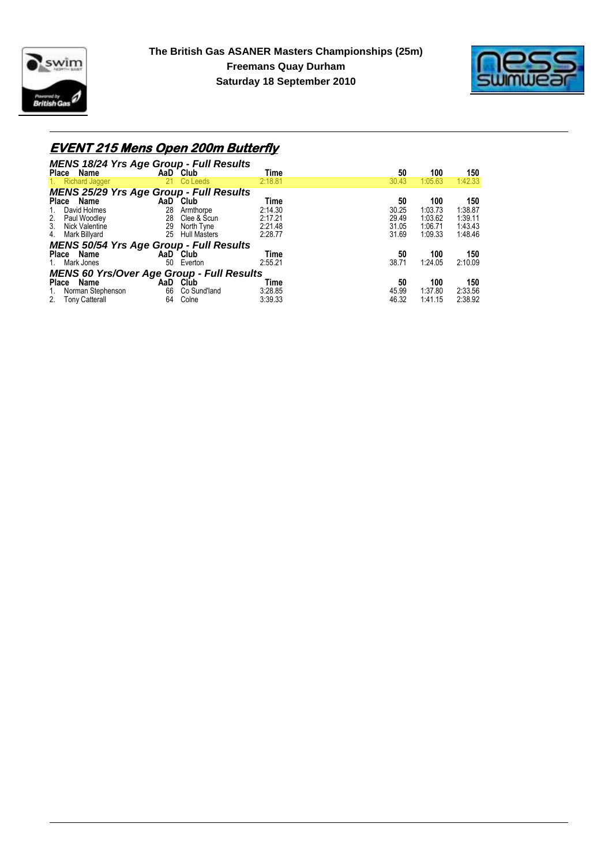



# **EVENT 215 Mens Open 200m Butterfly**

| <b>MENS 18/24 Yrs Age Group - Full Results</b>   |     |                     |         |       |         |         |
|--------------------------------------------------|-----|---------------------|---------|-------|---------|---------|
| Place Name                                       |     | AaD Club            | Time    | 50    | 100     | 150     |
| <b>Richard Jagger</b><br>1.                      | 21. | Co Leeds            | 2:18.81 | 30.43 | 1:05.63 | 1:42.33 |
| <b>MENS 25/29 Yrs Age Group - Full Results</b>   |     |                     |         |       |         |         |
| Place Name                                       |     | AaD Club            | Time    | 50    | 100     | 150     |
| David Holmes<br>$1_{\cdot}$                      | 28  | Armthorpe           | 2:14.30 | 30.25 | 1:03.73 | 1:38.87 |
| 2.<br>Paul Woodley                               | 28  | Clee & Scun         | 2:17.21 | 29.49 | 1:03.62 | 1:39.11 |
| 3.<br>Nick Valentine                             | 29  | North Tyne          | 2:21.48 | 31.05 | 1:06.71 | 1:43.43 |
| 4.<br>Mark Billyard                              | 25  | <b>Hull Masters</b> | 2:28.77 | 31.69 | 1:09.33 | 1:48.46 |
| <b>MENS 50/54 Yrs Age Group - Full Results</b>   |     |                     |         |       |         |         |
| Place Name                                       |     | AaD Club            | Time    | 50    | 100     | 150     |
| Mark Jones<br>1.                                 | 50  | Everton             | 2:55.21 | 38.71 | 1:24.05 | 2:10.09 |
| <b>MENS 60 Yrs/Over Age Group - Full Results</b> |     |                     |         |       |         |         |
| <b>Place</b><br>Name                             |     | AaD Club            | Time    | 50    | 100     | 150     |
| Norman Stephenson<br>1.                          | 66  | Co Sund'land        | 3:28.85 | 45.99 | 1:37.80 | 2:33.56 |
| 2.<br><b>Tony Catterall</b>                      | 64  | Colne               | 3:39.33 | 46.32 | 1:41.15 | 2:38.92 |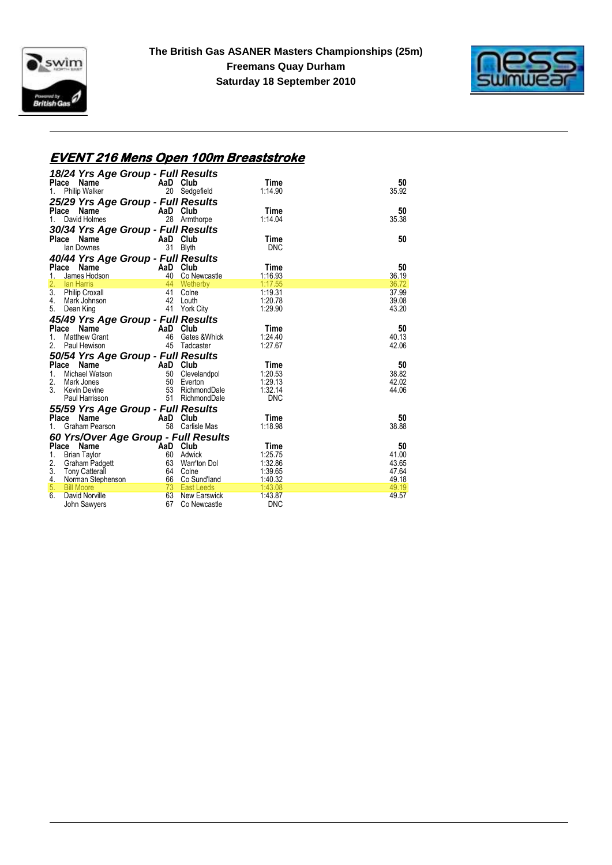



### **EVENT 216 Mens Open 100m Breaststroke**

|          | 18/24 Yrs Age Group - Full Results                            |                           |                   |                    |                |
|----------|---------------------------------------------------------------|---------------------------|-------------------|--------------------|----------------|
|          | Name<br>Place                                                 | AaD Club                  |                   | Time               | 50             |
| 1.       | <b>Philip Walker</b>                                          |                           | 20 Sedgefield     | 1:14.90            | 35.92          |
|          | 25/29 Yrs Age Group - Full Results                            |                           |                   |                    |                |
|          | Place Name                                                    | AaD Club                  |                   | Time               | 50             |
| 1.       | David Holmes <b>David Strutter</b>                            |                           | 28 Armthorpe      | 1:14.04            | 35.38          |
|          |                                                               |                           |                   |                    |                |
|          | 30/34 Yrs Age Group - Full Results                            |                           |                   |                    |                |
|          | Place Name<br>lan Downes                                      | AaD Club                  | 31 Blyth          | Time<br><b>DNC</b> | 50             |
|          |                                                               |                           |                   |                    |                |
|          | 40/44 Yrs Age Group - Full Results                            |                           |                   |                    |                |
|          | Using the Manus Hodson<br>James Hodson 40 Co Ne<br>Place Name |                           |                   | Time               | 50             |
| 1.       |                                                               |                           | 40 Co Newcastle   | 1:16.93            | 36.19          |
| 2.       | lan Harris                                                    |                           | 44 Wetherby       | 1:17.55            | 36.72          |
| 3.<br>4. | Philip Croxall                                                | 41                        | Colne<br>42 Louth | 1:19.31            | 37.99          |
|          | Mark Johnson                                                  |                           |                   | 1:20.78<br>1:29.90 | 39.08<br>43.20 |
|          | 5. Dean King                                                  |                           | 41 York City      |                    |                |
|          | 45/49 Yrs Age Group - Full Results                            |                           |                   |                    |                |
|          | Place Name                                                    | <b>Example 2</b> AaD Club |                   | Time               | 50             |
| 1.       | <b>Matthew Grant</b>                                          | 46                        | Gates &Whick      | 1:24.40            | 40.13          |
| 2.       | Paul Hewison                                                  |                           | 45 Tadcaster      | 1:27.67            | 42.06          |
|          | 50/54 Yrs Age Group - Full Results                            |                           |                   |                    |                |
|          | Place<br>Name                                                 | <b>Example 2</b> AaD Club |                   | Time               | 50             |
| 1.       | Michael Watson                                                |                           | 50 Clevelandpol   | 1:20.53            | 38.82          |
| 2.       | Mark Jones                                                    |                           | 50 Everton        | 1:29.13            | 42.02          |
| 3.       | Kevin Devine                                                  |                           | 53 RichmondDale   | 1:32.14            | 44.06          |
|          | Paul Harrisson                                                |                           | 51 RichmondDale   | <b>DNC</b>         |                |
|          | 55/59 Yrs Age Group - Full Results                            |                           |                   |                    |                |
|          | Place Name                                                    | AaD Club                  |                   | Time               | 50             |
| 1.       | Graham Pearson                                                |                           | 58 Carlisle Mas   | 1:18.98            | 38.88          |
|          | 60 Yrs/Over Age Group - Full Results                          |                           |                   |                    |                |
|          | Place Name                                                    | AaD Club                  |                   | Time               | 50             |
| 1.       | <b>Brian Taylor</b>                                           |                           | 60 Adwick         | 1:25.75            | 41.00          |
| 2.       | Graham Padgett                                                |                           | 63 Warr'ton Dol   | 1:32.86            | 43.65          |
|          | 3. Tony Catterall                                             |                           | 64 Colne          | 1:39.65            | 47.64          |
| 4.       | Norman Stephenson                                             |                           | 66 Co Sund'land   | 1:40.32            | 49.18          |
| 5.       | <b>Bill Moore</b>                                             |                           | 73 East Leeds     | 1:43.08            | 49.19          |
| 6.       | David Norville                                                |                           | 63 New Earswick   | 1:43.87            | 49.57          |
|          | John Sawyers                                                  | 67                        | Co Newcastle      | <b>DNC</b>         |                |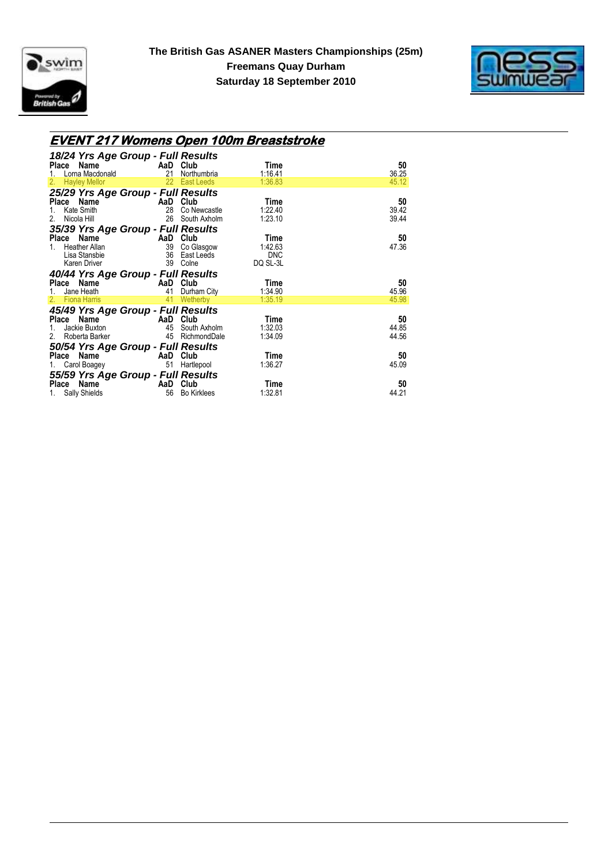



#### **EVENT 217 Womens Open 100m Breaststroke**

| 18/24 Yrs Age Group - Full Results                                                                 |                                  |            |       |
|----------------------------------------------------------------------------------------------------|----------------------------------|------------|-------|
| Place Name AaD Club                                                                                |                                  | Time       | 50    |
| Lorna Macdonald<br>1.                                                                              | 21 Northumbria                   | 1:16.41    | 36.25 |
| <b>Hayley Mellor</b><br>2.                                                                         | 22 East Leeds                    | 1:36.83    | 45.12 |
| 25/29 Yrs Age Group - Full Results                                                                 |                                  |            |       |
| $\begin{array}{cc}\n - & \cdot & \cdot \\  \hline\n 28 & \text{Co Ne}\n \end{array}$<br>Place Name |                                  | Time       | 50    |
| Kate Smith<br>1.                                                                                   | 28 Co Newcastle                  | 1:22.40    | 39.42 |
| 2.<br>Nicola Hill <b>Nicola</b>                                                                    | 26 South Axholm                  | 1:23.10    | 39.44 |
| 35/39 Yrs Age Group - Full Results                                                                 |                                  |            |       |
| Place Name                                                                                         | <b>AaD Club</b><br>39 Co Glasgow | Time       | 50    |
| <b>Heather Allan</b><br>$1 \quad$                                                                  |                                  | 1:42.63    | 47.36 |
|                                                                                                    |                                  | <b>DNC</b> |       |
|                                                                                                    |                                  | DQ SL-3L   |       |
| 40/44 Yrs Age Group - Full Results                                                                 |                                  |            |       |
|                                                                                                    |                                  |            |       |
|                                                                                                    |                                  | Time       | 50    |
| Place Name AaD Club                                                                                | 41 Durham City                   | 1:34.90    | 45.96 |
| 1. Jane Heath<br>2. Fiona Harris                                                                   | 41 Wetherby                      | 1:35.19    | 45.98 |
|                                                                                                    |                                  |            |       |
| 45/49 Yrs Age Group - Full Results                                                                 |                                  | Time       | 50    |
| Place Name AaD Club<br>Jackie Buxton 15 45 South Axholm<br>1.                                      |                                  | 1:32.03    | 44.85 |
| 2. Roberta Barker                                                                                  | 45 RichmondDale                  | 1:34.09    | 44.56 |
|                                                                                                    |                                  |            |       |
| 50/54 Yrs Age Group - Full Results                                                                 |                                  | Time       | 50    |
| Place Name AaD Club<br>Carol Boagey <b>Example 20</b><br>1.                                        | 51 Hartlepool                    | 1:36.27    | 45.09 |
|                                                                                                    |                                  |            |       |
| 55/59 Yrs Age Group - Full Results<br>Place Name<br>$\overline{A}$ AaD                             | Club                             | Time       | 50    |
|                                                                                                    |                                  |            |       |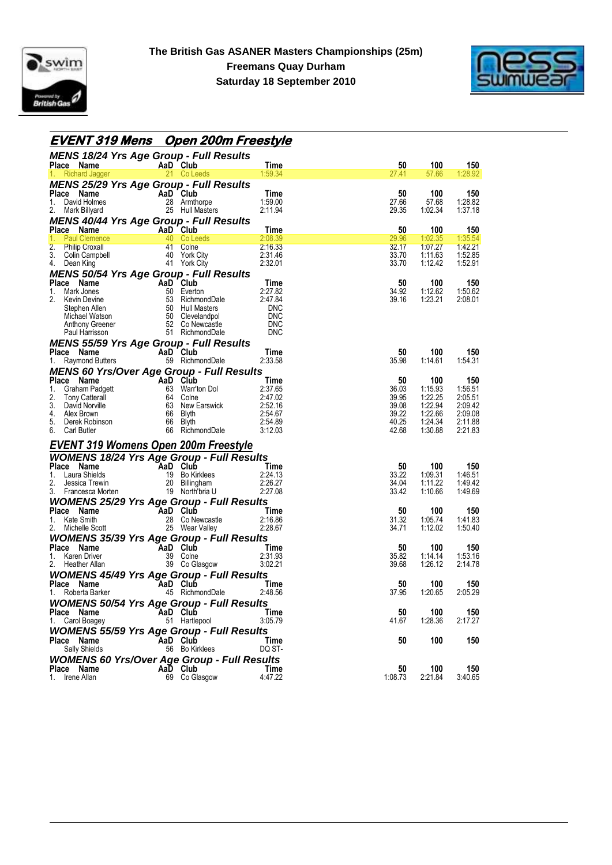



# **EVENT 319 Mens Open 200m Freestyle**

| <b>MENS 18/24 Yrs Age Group - Full Results</b>                                                                                                                                                                                                                             |                                                                                                                                    |                    |                |                    |                    |
|----------------------------------------------------------------------------------------------------------------------------------------------------------------------------------------------------------------------------------------------------------------------------|------------------------------------------------------------------------------------------------------------------------------------|--------------------|----------------|--------------------|--------------------|
| <b>Place Name</b>                                                                                                                                                                                                                                                          | AaD Club<br>ds<br>Listen of the State of the State of the State of the State of the State of the State of the State of the State o | <b>Time</b>        | 50             | <b>100</b>         | 150                |
| <b>Richard Jagger</b>                                                                                                                                                                                                                                                      | 21 Co Leeds                                                                                                                        | 1:59.34            | 27.41          | 57.66              | 1:28.92            |
| <b>MENS 25/29 Yrs Age Group - Full Results</b>                                                                                                                                                                                                                             |                                                                                                                                    |                    |                |                    |                    |
| Ce Name<br>David Holmes<br>Mark Billyard<br>Mark Billyard<br>25 Hull Masters<br>Place Name<br>1.                                                                                                                                                                           |                                                                                                                                    | Time<br>1:59.00    | 50<br>27.66    | 100<br>57.68       | 150<br>1:28.82     |
| David Holmes<br>2.                                                                                                                                                                                                                                                         |                                                                                                                                    | 2:11.94            | 29.35          | 1:02.34            | 1:37.18            |
|                                                                                                                                                                                                                                                                            |                                                                                                                                    |                    |                |                    |                    |
| <b>MENS 40/44 Yrs Age Group - Full Results</b><br>Place Name                                                                                                                                                                                                               |                                                                                                                                    | Time               | 50             | 100                | 150                |
| 1.<br><b>Paul Clemence</b>                                                                                                                                                                                                                                                 | Ce <b>AaD</b> Club<br>40 Co Leeds<br>44 Colpe                                                                                      | 2:08.39            | 29.96          | 1:02.35            | 1:35.54            |
| 2.                                                                                                                                                                                                                                                                         |                                                                                                                                    | 2:16.33            | 32.17          | 1:07.27            | 1:42.21            |
| 3.                                                                                                                                                                                                                                                                         |                                                                                                                                    | 2:31.46            | 33.70          | 1:11.63            | 1:52.85            |
| Philip Croxall <b>41</b> Colne<br>Colin Campbell <b>40</b> York City<br>Dean King <b>41</b> York City<br>4.<br>Dean King                                                                                                                                                   |                                                                                                                                    | 2:32.01            | 33.70          | 1:12.42            | 1:52.91            |
| <b>MENS 50/54 Yrs Age Group - Full Results</b>                                                                                                                                                                                                                             |                                                                                                                                    |                    |                |                    |                    |
| Place Name                                                                                                                                                                                                                                                                 |                                                                                                                                    | Time               | 50             | 100                | 150                |
| 1.                                                                                                                                                                                                                                                                         |                                                                                                                                    | 2:27.82            | 34.92          | 1:12.62            | 1:50.62            |
| 2.                                                                                                                                                                                                                                                                         |                                                                                                                                    | 2:47.84            | 39.16          | 1:23.21            | 2:08.01            |
|                                                                                                                                                                                                                                                                            |                                                                                                                                    | <b>DNC</b>         |                |                    |                    |
|                                                                                                                                                                                                                                                                            |                                                                                                                                    | DNC<br>DNC         |                |                    |                    |
| Contract to the Contract of the Same<br>Mark Jones And Club<br>Mark Jones 50 Everton<br>Mark Jones 53 RichmondDale<br>Stephen Allen 50 Hull Masters<br>Michael Watson 50 Clevelandpol<br>Anthony Greener 52 Co Newcastle<br>Paul Harrisson 5                               |                                                                                                                                    | DNC                |                |                    |                    |
| <b>MENS 55/59 Yrs Age Group - Full Results</b>                                                                                                                                                                                                                             |                                                                                                                                    |                    |                |                    |                    |
| Place Name                                                                                                                                                                                                                                                                 |                                                                                                                                    | Time               | 50             | 100                | 150                |
| $AaD$ Club<br>Raymond Butters<br>1.                                                                                                                                                                                                                                        | 59 RichmondDale                                                                                                                    | 2:33.58            | 35.98          | 1:14.61            | 1:54.31            |
| <b>MENS 60 Yrs/Over Age Group - Full Results</b>                                                                                                                                                                                                                           |                                                                                                                                    |                    |                |                    |                    |
| Contain Participal Club<br>Graham Padgett<br>Graham Padgett<br>Colne<br>David Norville<br>David Norville<br>David Norville<br>Club<br>David Norville<br>Carl Butler<br>Carl Butler<br>Carl Butler<br>Carl Butler<br>Carl Butler<br>Carl Butler<br>Carl Butle<br>Place Name |                                                                                                                                    |                    | 50             | 100                | 150                |
| 1.                                                                                                                                                                                                                                                                         |                                                                                                                                    |                    | 36.03          | 1:15.93            | 1:56.51            |
| 2.                                                                                                                                                                                                                                                                         |                                                                                                                                    |                    | 39.95          | 1:22.25            | 2:05.51            |
| 3.                                                                                                                                                                                                                                                                         |                                                                                                                                    |                    | 39.08          | 1:22.94            | 2:09.42            |
| 4.                                                                                                                                                                                                                                                                         |                                                                                                                                    |                    | 39.22          | 1:22.66            | 2:09.08            |
| 5.<br>6.                                                                                                                                                                                                                                                                   |                                                                                                                                    |                    | 40.25<br>42.68 | 1:24.34<br>1:30.88 | 2:11.88<br>2:21.83 |
|                                                                                                                                                                                                                                                                            |                                                                                                                                    |                    |                |                    |                    |
| <b>EVENT 319 Womens Open 200m Freestyle</b>                                                                                                                                                                                                                                |                                                                                                                                    |                    |                |                    |                    |
| <b>WOMENS 18/24 Yrs Age Group - Full Results</b>                                                                                                                                                                                                                           |                                                                                                                                    |                    |                |                    |                    |
|                                                                                                                                                                                                                                                                            |                                                                                                                                    | Time               | 50             | 100                | 150                |
|                                                                                                                                                                                                                                                                            |                                                                                                                                    | 2:24.13            | 33.22          | 1:09.31            | 1:46.51            |
| Place Name<br>1. Laura Shields<br>1. Laura Shields<br>2. Jessica Trewin<br>3. Francesca Morten<br>19 North'bria U                                                                                                                                                          |                                                                                                                                    | 2:26.27            | 34.04          | 1:11.22            | 1:49.42            |
|                                                                                                                                                                                                                                                                            |                                                                                                                                    | 2:27.08            | 33.42          | 1:10.66            | 1:49.69            |
| <b>WOMENS 25/29 Yrs Age Group - Full Results</b>                                                                                                                                                                                                                           |                                                                                                                                    |                    |                |                    |                    |
|                                                                                                                                                                                                                                                                            |                                                                                                                                    | <b>Time</b>        | 50             | 100                | 150                |
| <b>Place Name</b><br>1. Kate Smith<br>2. Michelle Scott<br>25 Wear V                                                                                                                                                                                                       | 28 Co Newcastle<br>25 Wear Valley                                                                                                  | 2:16.86<br>2:28.67 | 31.32<br>34.71 | 1:05.74<br>1:12.02 | 1:41.83<br>1:50.40 |
|                                                                                                                                                                                                                                                                            |                                                                                                                                    |                    |                |                    |                    |
| <b>WOMENS 35/39 Yrs Age Group - Full Results<br/> Place Name AaD Club Time<br/> 1. Karen Driver 39 Colne 2:31.93<br/> 2. Heather Allan 39 Co Glasgow 3:02.21</b><br>Place Name                                                                                             |                                                                                                                                    |                    | 50             | 100                | 150                |
| 1.                                                                                                                                                                                                                                                                         |                                                                                                                                    |                    | 35.82          | 1:14.14            | 1:53.16            |
| 2.                                                                                                                                                                                                                                                                         |                                                                                                                                    |                    | 39.68          | 1:26.12            | 2:14.78            |
| <b>WOMENS 45/49 Yrs Age Group - Full Results</b>                                                                                                                                                                                                                           |                                                                                                                                    |                    |                |                    |                    |
|                                                                                                                                                                                                                                                                            |                                                                                                                                    | Time               | 50             | 100                | 150                |
| <b>Place Name</b><br>1. Roberta Barker <b>1. AaD Club</b><br>45 RichmondDale                                                                                                                                                                                               |                                                                                                                                    | 2:48.56            | 37.95          | 1:20.65            | 2:05.29            |
| <b>WOMENS 50/54 Yrs Age Group - Full Results</b>                                                                                                                                                                                                                           |                                                                                                                                    |                    |                |                    |                    |
| Place Name                                                                                                                                                                                                                                                                 |                                                                                                                                    | <b>Time</b>        | 50             | 100                | 150                |
| <b>Cannel Caroling Carol Dividend Carol Boagey</b><br>Carol Boagey <b>Carol Carol</b> 51 Hartlepool<br>1.                                                                                                                                                                  |                                                                                                                                    | 3:05.79            | 41.67          | 1:28.36            | 2:17.27            |
| <b>WOMENS 55/59 Yrs Age Group - Full Results<br/>Place Name AaD Club T<br/>Sally Shields 56 Bo Kirklees DQ</b>                                                                                                                                                             |                                                                                                                                    |                    |                |                    |                    |
| Place Name                                                                                                                                                                                                                                                                 |                                                                                                                                    | Time               | 50             | 100                | 150                |
|                                                                                                                                                                                                                                                                            |                                                                                                                                    | DQ ST-             |                |                    |                    |
| <b>WOMENS 60 Yrs/Over Age Group - Full Results</b>                                                                                                                                                                                                                         |                                                                                                                                    |                    |                |                    |                    |
| $\mathsf{Aa\bar{D}}\ \ \mathsf{Club}\ \ \mathsf{69}\ \ \mathsf{Co\,\mathrm{Gb}}$<br>Place Name                                                                                                                                                                             |                                                                                                                                    | Time               | 50             | 100                | 150                |
| 1.<br>Irene Allan                                                                                                                                                                                                                                                          | 69 Co Glasgow                                                                                                                      | 4:47.22            | 1:08.73        | 2:21.84            | 3:40.65            |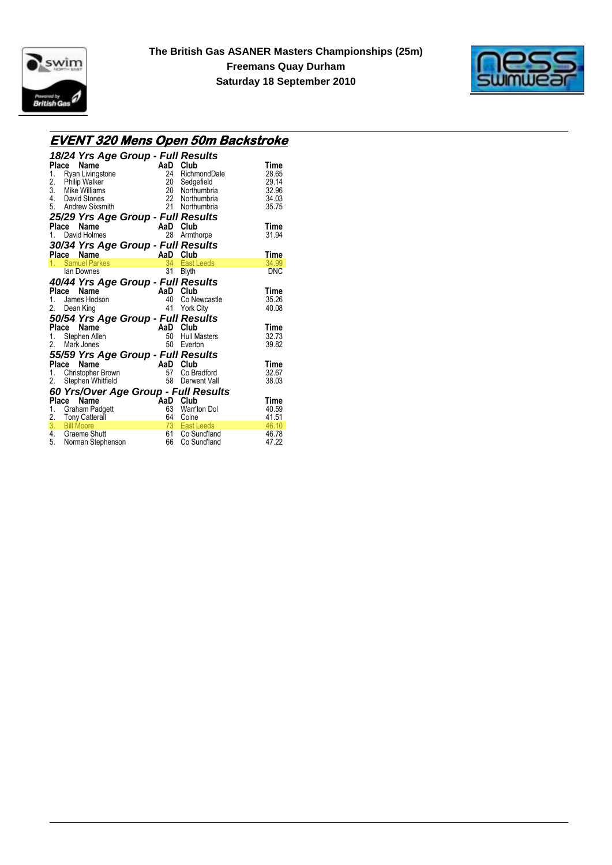



### **EVENT 320 Mens Open 50m Backstroke**

| Place<br>1.<br>2. | 18/24 Yrs Age Group - Full Results<br>Name<br>Ryan Livingstone<br><b>Philip Walker</b><br>3. Mike Williams<br>4. David Stones<br>5. Andrew Sixsmith | AaD<br>24<br>20<br>20<br>$22^{\circ}$<br>21 | Club<br>RichmondDale<br>Sedgefield<br>Northumbria<br>Northumbria<br>Northumbria | Time<br>28.65<br>29.14<br>32.96<br>34.03<br>35.75 |
|-------------------|-----------------------------------------------------------------------------------------------------------------------------------------------------|---------------------------------------------|---------------------------------------------------------------------------------|---------------------------------------------------|
|                   | 25/29 Yrs Age Group - Full Results                                                                                                                  |                                             |                                                                                 |                                                   |
| Place             | Name                                                                                                                                                | AaD                                         | Club                                                                            | Time                                              |
| $1_{\ldots}$      | David Holmes                                                                                                                                        | 28                                          | Armthorpe                                                                       | 31.94                                             |
|                   | 30/34 Yrs Age Group - Full Results                                                                                                                  |                                             |                                                                                 |                                                   |
|                   | Name<br>Place                                                                                                                                       | AaD<br><u> Liberatur a</u>                  | Club                                                                            | Time                                              |
|                   | 1. Samuel Parkes                                                                                                                                    | 34                                          | <b>East Leeds</b>                                                               | 34.99                                             |
|                   | lan Downes                                                                                                                                          | 31                                          | <b>Blyth</b>                                                                    | <b>DNC</b>                                        |
|                   | 40/44 Yrs Age Group - Full Results                                                                                                                  |                                             |                                                                                 |                                                   |
|                   | Place<br>Name                                                                                                                                       |                                             | AaD Club                                                                        | Time                                              |
| 1.                | James Hodson                                                                                                                                        | 40                                          | Co Newcastle                                                                    | 35.26                                             |
| 2.                | Dean King                                                                                                                                           | 41                                          | <b>York City</b>                                                                | 40.08                                             |
|                   | 50/54 Yrs Age Group - Full Results                                                                                                                  |                                             |                                                                                 |                                                   |
|                   | Place<br>Name                                                                                                                                       | AaD                                         | Club                                                                            | Time                                              |
| 1.                | Stephen Allen                                                                                                                                       | 50                                          | <b>Hull Masters</b>                                                             | 32.73                                             |
| 2.                | Mark Jones                                                                                                                                          | 50                                          | Everton                                                                         | 39.82                                             |
|                   | 55/59 Yrs Age Group - Full Results                                                                                                                  |                                             |                                                                                 |                                                   |
| Place             | Name                                                                                                                                                | AaD                                         | Club                                                                            | Time                                              |
| 1.                | Christopher Brown                                                                                                                                   | 57                                          | Co Bradford                                                                     | 32.67                                             |
| 2.                | Stephen Whitfield                                                                                                                                   | 58                                          | Derwent Vall                                                                    | 38.03                                             |
|                   | 60 Yrs/Over Age Group - Full Results                                                                                                                |                                             |                                                                                 |                                                   |
| Place             | Name                                                                                                                                                | `AaD                                        | Club                                                                            | <b>Time</b>                                       |
| 1.                | Graham Padgett                                                                                                                                      | 63                                          | Warr'ton Dol                                                                    | 40.59                                             |
|                   | 2. Tony Catterall                                                                                                                                   | 64                                          | Colne                                                                           | 41.51                                             |
|                   | 3. Bill Moore                                                                                                                                       | 73                                          | <b>East Leeds</b>                                                               | 46.10                                             |
|                   | 4. Graeme Shutt                                                                                                                                     | 61                                          | Co Sund'land                                                                    | 46.78                                             |
|                   | 5. Norman Stephenson                                                                                                                                | 66                                          | Co Sund'land                                                                    | 47.22                                             |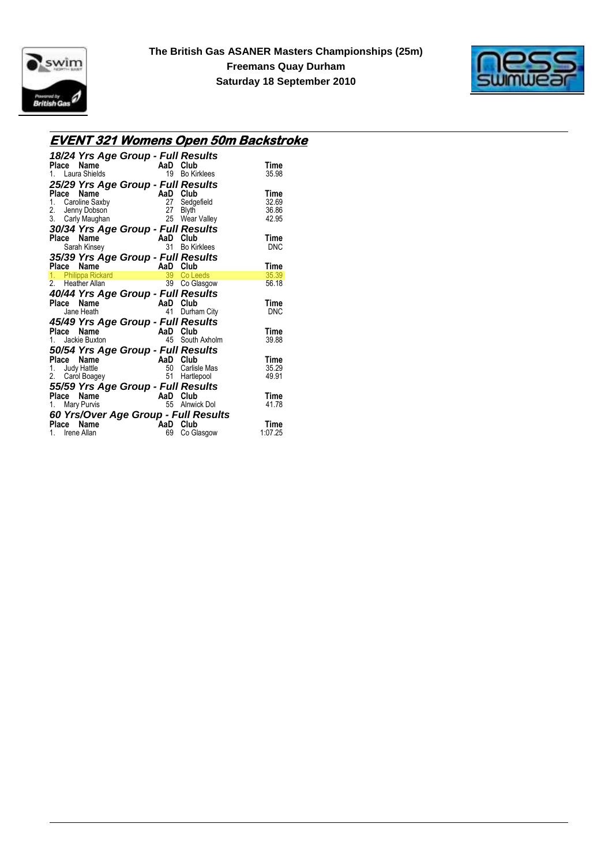



#### **EVENT 321 Womens Open 50m Backstroke**

| 18/24 Yrs Age Group - Full Results                 |          |                    |       |
|----------------------------------------------------|----------|--------------------|-------|
| Name<br>Place                                      | AaD Club |                    | Time  |
| 1. Laura Shields                                   | 19       | <b>Bo Kirklees</b> | 35.98 |
| 25/29 Yrs Age Group - Full Results                 |          |                    |       |
| Place<br>Name                                      |          | AaD Club           | Time  |
| 1. Caroline Saxby                                  |          | 27 Sedgefield      | 32.69 |
| 2. Jenny Dobson                                    |          | 27 Blyth           | 36.86 |
| 3. Carly Maughan                                   |          | 25 Wear Valley     | 42.95 |
| 30/34 Yrs Age Group - Full Results                 |          |                    |       |
| Place<br>Name                                      |          | AaD Club           | Time  |
| Sarah Kinsey                                       |          | 31 Bo Kirklees     | DNC   |
| 35/39 Yrs Age Group - Full Results                 |          |                    |       |
| Name<br>Place                                      | AaD Club |                    | Time  |
| 1. Philippa Rickard                                | 39       | Co Leeds           | 35.39 |
| 2. Heather Allan                                   |          | 39 Co Glasgow      | 56.18 |
| 40/44 Yrs Age Group - Full Results                 |          |                    |       |
| Name<br>Place                                      | AaD      | Club               | Time  |
| Jane Heath                                         | 41       | Durham City        | DNC   |
|                                                    |          |                    |       |
| 45/49 Yrs Age Group - Full Results                 |          |                    |       |
| Place<br>Name                                      |          |                    |       |
|                                                    |          | AaD Club           | Time  |
| 1. Jackie Buxton                                   |          | 45 South Axholm    | 39.88 |
| 50/54 Yrs Age Group - Full Results                 |          |                    |       |
| Place Name                                         |          | AaD Club           | Time  |
| 1. Judy Hattle                                     | 50       | Carlisle Mas       | 35.29 |
| 2. Carol Boagey                                    | 51       | Hartlepool         | 49.91 |
| 55/59 Yrs Age Group - Full Results                 |          |                    |       |
| Place<br>Name                                      |          | AaD Club           | Time  |
| 1. Mary Purvis                                     |          | 55 Alnwick Dol     | 41.78 |
|                                                    |          |                    |       |
| 60 Yrs/Over Age Group - Full Results<br>Place Name | AaD Club |                    | Time  |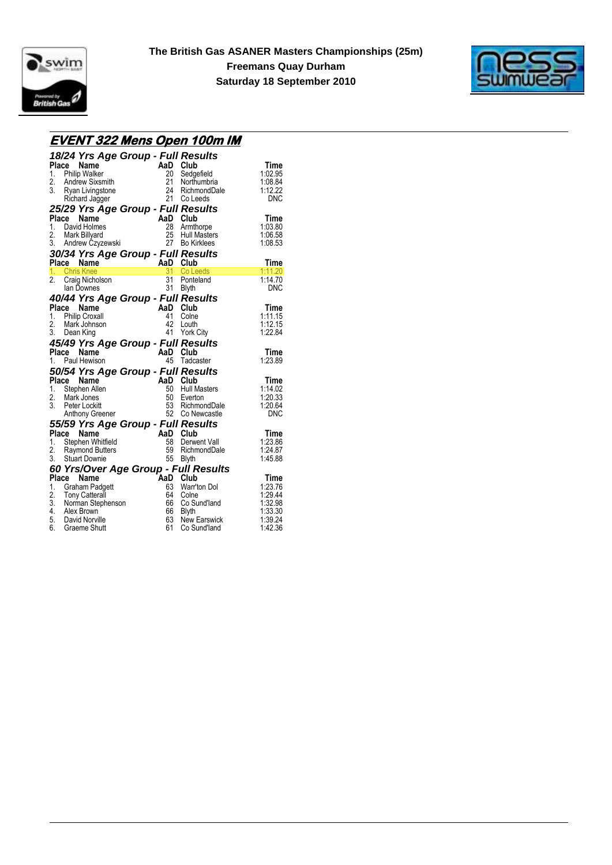



### **EVENT 322 Mens Open 100m IM**

| Place        | 18/24 Yrs Age Group - Full Results<br>Name<br>1. Philip Walker<br>2. Andrew Sixsmith<br>3. Ryan Livingstone<br>Richard Jagger                                                                                      |                                                          | 20 Sedgefield<br>21 Northumbria<br>24 RichmondDale<br>21 Co Leeds                             | Time<br>1:02.95<br>1:08.84<br>1:12.22<br><b>DNC</b>                    |
|--------------|--------------------------------------------------------------------------------------------------------------------------------------------------------------------------------------------------------------------|----------------------------------------------------------|-----------------------------------------------------------------------------------------------|------------------------------------------------------------------------|
|              | 25/29 Yrs Age Group - Full Results<br>Place<br>Name<br><b>Place Name</b><br>1. David Holmes<br>2. Mark Billyard<br>2. Mark Billyard<br>3. Andrew Czyzewski<br>27 Bo Kirklees<br>30/34 Yrs Age Group - Full Results | AaD Club                                                 | 28 Armthorpe<br>25 Hull Masters                                                               | Time<br>1:03.80<br>1:06.58<br>1:08.53                                  |
|              | AaD Club<br>Place<br>Name                                                                                                                                                                                          |                                                          |                                                                                               | Time                                                                   |
| 2.           | 1. Chris Knee<br>Craig Nicholson<br>lan Downes                                                                                                                                                                     |                                                          | 31 Co Leeds<br>31 Ponteland<br>31 Blyth                                                       | 1:11.20<br>1:14.70<br><b>DNC</b>                                       |
|              | 40/44 Yrs Age Group - Full Results                                                                                                                                                                                 |                                                          |                                                                                               |                                                                        |
|              | Place Name<br>1. Philip Croxall<br>2. Mark Johnson<br>3. Dean King                                                                                                                                                 | AaD Club                                                 | 41 Colne<br>42 Louth<br>41 York City                                                          | Time<br>1:11.15<br>1:12.15<br>1:22.84                                  |
|              | 45/49 Yrs Age Group - Full Results<br>Name<br>Place                                                                                                                                                                | AaD Club                                                 |                                                                                               | Time                                                                   |
| 1.           | Paul Hewison                                                                                                                                                                                                       |                                                          | 45 Tadcaster                                                                                  | 1:23.89                                                                |
|              | 50/54 Yrs Age Group - Full Results<br>Place Name<br>1. Stephen Allen<br>2. Mark Jones<br>3. Peter Lockitt<br>Anthony Greener                                                                                       | AaD Club                                                 | 50 Hull Masters<br>50 Everton<br>53 RichmondDale<br>52 Co Newcastle                           | <b>Time</b><br>1:14.02<br>1:20.33<br>1:20.64<br><b>DNC</b>             |
|              | 55/59 Yrs Age Group - Full Results                                                                                                                                                                                 |                                                          |                                                                                               |                                                                        |
| <b>Place</b> | Name<br>1. Stephen Whitfield<br>2. Raymond Butters<br>3. Stuart Downie                                                                                                                                             | $-$ Full Res<br>AaD Club<br>58 Derwyn<br>50 Derwyn<br>50 | 58 Derwent Vall<br>59 RichmondDale<br>55 Blyth                                                | Time<br>1:23.86<br>1:24.87<br>1:45.88                                  |
|              | 60 Yrs/Over Age Group - Full Results                                                                                                                                                                               |                                                          |                                                                                               |                                                                        |
|              | Place<br>Name<br>1. Graham Padgett<br>2. Tony Catterall<br>3. Norman Stephenson<br>4. Alex Brown<br>5. David Norville<br>6. Graeme Shutt                                                                           | AaD Club<br>66                                           | 63 Warr'ton Dol<br>64 Colne<br>Co Sund'Iand<br>66 Blyth<br>63 New Earswick<br>61 Co Sund'land | Time<br>1:23.76<br>1:29.44<br>1:32.98<br>1:33.30<br>1:39.24<br>1:42.36 |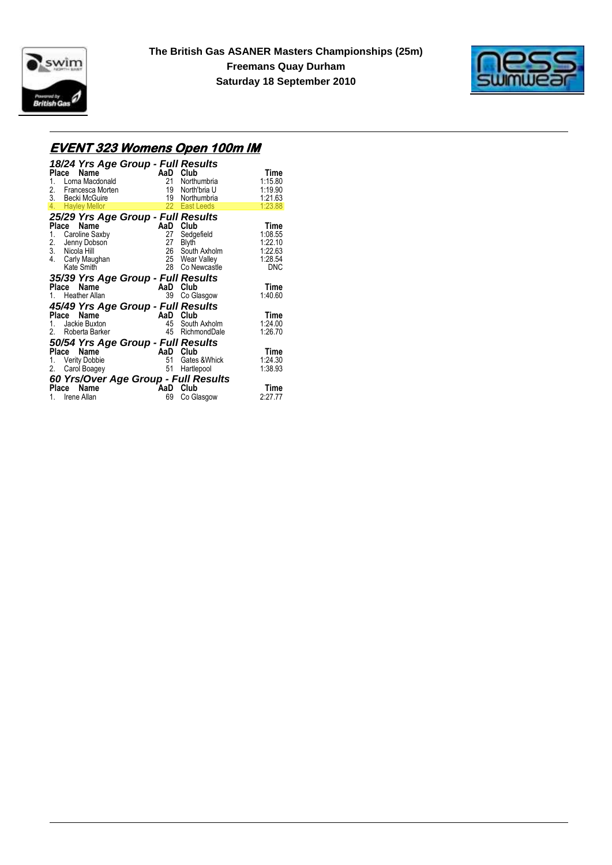



# **EVENT 323 Womens Open 100m IM**

| 18/24 Yrs Age Group - Full Results     |           |                     |                 |
|----------------------------------------|-----------|---------------------|-----------------|
| Place<br>Name<br>Lorna Macdonald<br>1. | AaD<br>21 | Club<br>Northumbria | Time<br>1:15.80 |
| 2.<br>Francesca Morten                 | 19        | North'bria U        | 1:19.90         |
| 3. Becki McGuire                       | 19        | Northumbria         | 1:21.63         |
| 4.<br><b>Hayley Mellor</b>             | $22 -$    | <b>East Leeds</b>   | 1:23.88         |
| 25/29 Yrs Age Group - Full Results     |           |                     |                 |
| Place<br>Name                          | AaD       | Club                | Time            |
| Caroline Saxby<br>1.                   | 27        | Sedgefield          | 1:08.55         |
| Jenny Dobson                           | 27        | <b>Blyth</b>        | 1:22.10         |
| 2. Jenny Dob<br>3. Nicola Hill         | 26        | South Axholm        | 1:22.63         |
| 4.<br>Carly Maughan                    |           | 25 Wear Valley      | 1:28.54         |
| Kate Smith                             | 28        | Co Newcastle        | <b>DNC</b>      |
| 35/39 Yrs Age Group - Full Results     |           |                     |                 |
| Name<br>Place                          | AaD       | Club                | Time            |
| <b>Heather Allan</b><br>1.             | 39        | Co Glasgow          | 1:40.60         |
| 45/49 Yrs Age Group - Full Results     |           |                     |                 |
| Name<br>Place                          | AaD       | Club                | Time            |
| Jackie Buxton<br>1.                    | 45        | South Axholm        | 1:24.00         |
| 2.<br>Roberta Barker                   | 45        | RichmondDale        | 1:26.70         |
| 50/54 Yrs Age Group - Full Results     |           |                     |                 |
| Name<br>Place                          | AaD       | Club                | Time            |
| <b>Verity Dobbie</b><br>1.             | 51        | Gates & Whick       | 1:24.30         |
| 2.<br>Carol Boagey                     | 51        | Hartlepool          | 1:38.93         |
| 60 Yrs/Over Age Group - Full Results   |           |                     |                 |
| Name<br>Place                          | AaD       | Club                | Time            |
| Irene Allan<br>1.                      | 69        | Co Glasgow          | 2:27.77         |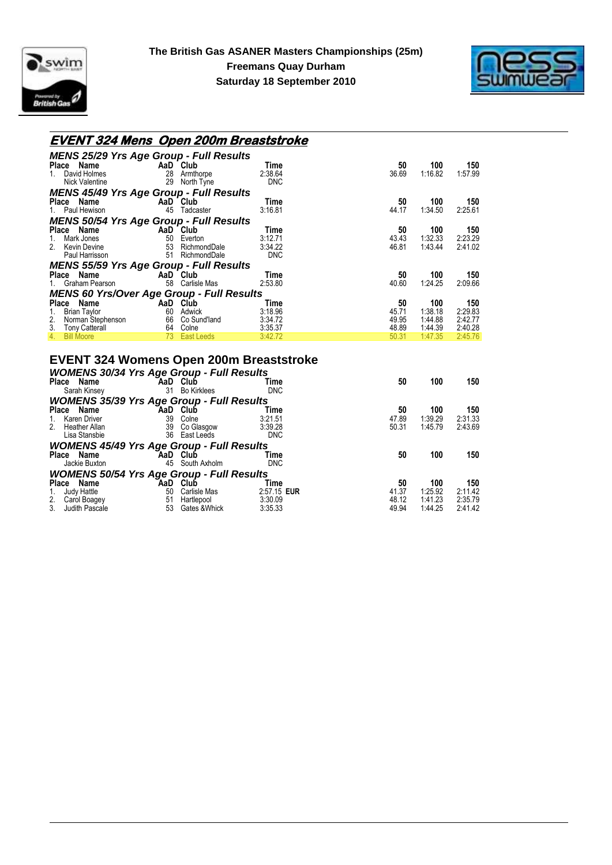



### **EVENT 324 Mens Open 200m Breaststroke**

| <b>MENS 25/29 Yrs Age Group - Full Results</b>   |    |                 |            |       |         |         |
|--------------------------------------------------|----|-----------------|------------|-------|---------|---------|
| Place Name                                       |    | AaD Club        | Time       | 50    | 100     | 150     |
| David Holmes<br>1.                               | 28 | Armthorpe       | 2:38.64    | 36.69 | 1:16.82 | 1:57.99 |
| Nick Valentine                                   | 29 | North Tyne      | <b>DNC</b> |       |         |         |
| <b>MENS 45/49 Yrs Age Group - Full Results</b>   |    |                 |            |       |         |         |
| Place Name                                       |    | AaD Club        | Time       | 50    | 100     | 150     |
| 1. Paul Hewison                                  |    | 45 Tadcaster    | 3:16.81    | 44.17 | 1:34.50 | 2:25.61 |
| <b>MENS 50/54 Yrs Age Group - Full Results</b>   |    |                 |            |       |         |         |
| Place Name<br><b>Example 2</b> AaD Club          |    |                 | Time       | 50    | 100     | 150     |
| Mark Jones<br>1.                                 | 50 | Everton         | 3:12.71    | 43.43 | 1:32.33 | 2:23.29 |
| 2.<br>Kevin Devine                               |    | 53 RichmondDale | 3:34.22    | 46.81 | 1:43.44 | 2:41.02 |
| Paul Harrisson                                   | 51 | RichmondDale    | <b>DNC</b> |       |         |         |
| <b>MENS 55/59 Yrs Age Group - Full Results</b>   |    |                 |            |       |         |         |
| Place Name                                       |    | AaD Club        | Time       | 50    | 100     | 150     |
| 1. Graham Pearson                                |    | 58 Carlisle Mas | 2:53.80    | 40.60 | 1:24.25 | 2:09.66 |
| <b>MENS 60 Yrs/Over Age Group - Full Results</b> |    |                 |            |       |         |         |
| Place Name                                       |    | AaD Club        | Time       | 50    | 100     | 150     |
| Brian Taylor<br>1.                               | 60 | Adwick          | 3:18.96    | 45.71 | 1:38.18 | 2:29.83 |
| 2.<br>Norman Stephenson                          |    | 66 Co Sund'land | 3:34.72    | 49.95 | 1:44.88 | 2:42.77 |
| 3.<br><b>Tony Catterall</b>                      | 64 | Colne           | 3:35.37    | 48.89 | 1:44.39 | 2:40.28 |
| 4.<br><b>Bill Moore</b>                          |    | 73 East Leeds   | 3:42.72    | 50.31 | 1:47.35 | 2:45.76 |

### **EVENT 324 Womens Open 200m Breaststroke**

| <b>WOMENS 30/34 Yrs Age Group - Full Results</b> |     |                    |             |       |         |         |
|--------------------------------------------------|-----|--------------------|-------------|-------|---------|---------|
| Place Name                                       |     | AaD Club           | Time        | 50    | 100     | 150     |
| Sarah Kinsey                                     | 31  | <b>Bo Kirklees</b> | <b>DNC</b>  |       |         |         |
| <b>WOMENS 35/39 Yrs Age Group - Full Results</b> |     |                    |             |       |         |         |
| Place Name                                       | AaD | Club               | Time        | 50    | 100     | 150     |
| Karen Driver<br>1.                               | 39  | Colne              | 3:21.51     | 47.89 | 1:39.29 | 2:31.33 |
| 2.<br>Heather Allan                              | 39  | Co Glasgow         | 3:39.28     | 50.31 | 1:45.79 | 2:43.69 |
| Lisa Stansbie                                    |     | 36 East Leeds      | <b>DNC</b>  |       |         |         |
| <b>WOMENS 45/49 Yrs Age Group - Full Results</b> |     |                    |             |       |         |         |
| Place Name                                       |     | AaD Club           | Time        | 50    | 100     | 150     |
| Jackie Buxton                                    |     | 45 South Axholm    | <b>DNC</b>  |       |         |         |
| <b>WOMENS 50/54 Yrs Age Group - Full Results</b> |     |                    |             |       |         |         |
| Place Name                                       | AaD | Club               | Time        | 50    | 100     | 150     |
| Judy Hattle<br>1.                                | 50  | Carlisle Mas       | 2:57.15 EUR | 41.37 | 1:25.92 | 2:11.42 |
| 2.<br>Carol Boagey                               | 51  | Hartlepool         | 3:30.09     | 48.12 | 1:41.23 | 2:35.79 |
| 3.<br>Judith Pascale                             | 53  | Gates & Whick      | 3:35.33     | 49.94 | 1:44.25 | 2:41.42 |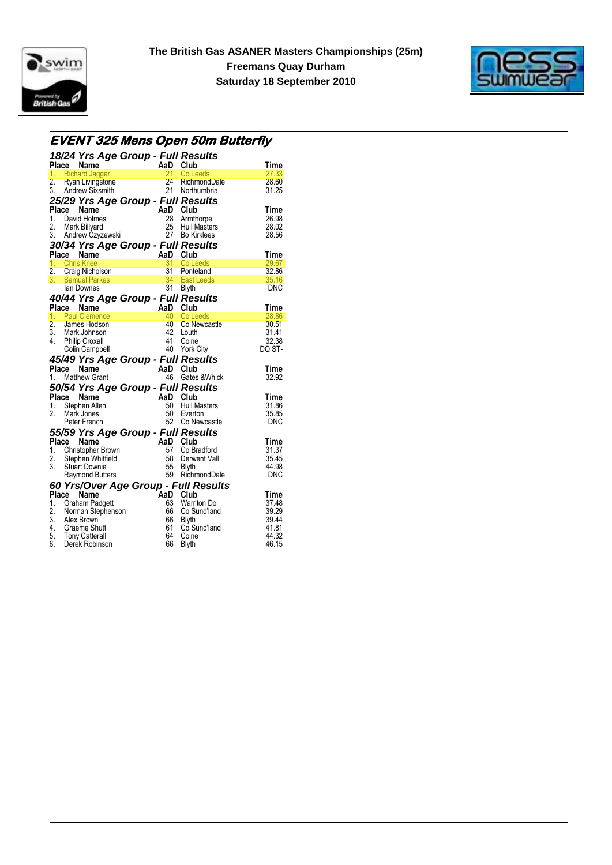



### **EVENT 325 Mens Open 50m Butterfly**

|                  |       | 18/24 Yrs Age Group - Full Results<br>Place Name                                                                      | AaD Club<br>21 Cole |                |                                      | Time        |
|------------------|-------|-----------------------------------------------------------------------------------------------------------------------|---------------------|----------------|--------------------------------------|-------------|
|                  |       | 1. Richard Jagger                                                                                                     |                     |                | Co Leeds                             | 27.33       |
| 2.               |       |                                                                                                                       |                     |                | 24 RichmondDale                      | 28.60       |
|                  |       | 3. Andrew Sixsmith                                                                                                    |                     |                | 21 Northumbria                       | 31.25       |
|                  |       | Ryan Livingstone<br>Ryan Livingstone 24<br>Andrew Sixsmith 21<br>29 Vrs A ~ - 2<br>25/29 Yrs Age Group - Full Results |                     |                |                                      |             |
| Place            |       | Name                                                                                                                  |                     | AaD Club       |                                      | Time        |
|                  |       | 1. David Holmes                                                                                                       |                     | 28             | Armthorpe                            | 26.98       |
| 2.               |       | Mark Billyard                                                                                                         |                     |                | 25 Hull Masters                      | 28.02       |
|                  |       | 3. Andrew Czyzewski                                                                                                   |                     |                | 27 Bo Kirklees                       | 28.56       |
|                  |       |                                                                                                                       |                     |                |                                      |             |
|                  |       | 30/34 Yrs Age Group - Full Results<br><b>Place Name 1. AaD Club</b><br>1. Chris Knee 1. 31 Co Le                      |                     |                |                                      | Time        |
|                  |       | 1. Chris Knee                                                                                                         |                     | $\frac{31}{2}$ | Co Leeds                             | 29.67       |
|                  |       | 2. Craig Nicholson                                                                                                    |                     |                | 31 Ponteland                         | 32.86       |
|                  |       | 3. Samuel Parkes 34 East Leeds<br>Ian Downes 31 Blyth                                                                 |                     |                |                                      | 35.16       |
|                  |       | lan Downes                                                                                                            |                     |                | 31 Blyth                             | <b>DNC</b>  |
|                  |       | 40/44 Yrs Age Group - Full Results                                                                                    |                     |                |                                      |             |
|                  |       | Place Name                                                                                                            |                     | AaD Club       |                                      | Time        |
|                  |       | 1. Paul Clemence                                                                                                      |                     | 40             | Co Leeds                             | 28.86       |
| $\overline{2}$ . |       | James Hodson                                                                                                          |                     |                | 40 Co Newcastle                      | 30.51       |
|                  |       | 3. Mark Johnson                                                                                                       |                     | 42             | Louth                                | 31.41       |
| 4.               |       | <b>Philip Croxall</b>                                                                                                 |                     | 41             | Colne                                | 32.38       |
|                  |       | Colin Campbell                                                                                                        |                     |                | 40 York City                         | DQ ST-      |
|                  |       | 45/49 Yrs Age Group - Full Results                                                                                    |                     |                |                                      |             |
| Place            |       | Name                                                                                                                  |                     | AaD Club       |                                      | <b>Time</b> |
|                  |       | 1. Matthew Grant                                                                                                      |                     | 46             | Gates & Whick                        | 32.92       |
|                  |       | 50/54 Yrs Age Group - Full Results                                                                                    |                     |                |                                      |             |
|                  | Place | Name                                                                                                                  |                     | AaD Club       |                                      | Time        |
|                  |       |                                                                                                                       |                     | 50 -           | <b>Hull Masters</b>                  | 31.86       |
| 1.<br>2.         |       | Stephen Allen                                                                                                         |                     | 50             | Everton                              | 35.85       |
|                  |       | Mark Jones<br>Peter French                                                                                            |                     |                |                                      | DNC         |
|                  |       |                                                                                                                       |                     |                | 52 Co Newcastle                      |             |
|                  |       | 55/59 Yrs Age Group - Full Results                                                                                    |                     |                |                                      |             |
|                  |       | Place Name                                                                                                            |                     | AaD Club       |                                      | <b>Time</b> |
|                  |       | 1. Christopher Brown                                                                                                  |                     | 57             | Co Bradford                          | 31.37       |
| 2.               |       | Stephen Whitfield                                                                                                     |                     | 58             | Derwent Vall                         | 35.45       |
| 3.               |       | <b>Stuart Downie</b>                                                                                                  |                     | 55             | Blyth                                | 44.98       |
|                  |       | <b>Raymond Butters</b>                                                                                                |                     |                | 59 RichmondDale                      | <b>DNC</b>  |
|                  |       |                                                                                                                       |                     |                | 60 Yrs/Over Age Group - Full Results |             |
|                  |       | Place Name                                                                                                            |                     | AaD Club       |                                      | Time        |
|                  |       | 1. Graham Padgett                                                                                                     |                     | 63             | Warr'ton Dol                         | 37.48       |
|                  |       | 2. Norman Stephenson                                                                                                  |                     | 66             | Co Sund'land                         | 39.29       |
|                  |       | 3. Alex Brown                                                                                                         |                     | 66             | <b>Blyth</b>                         | 39.44       |
|                  |       |                                                                                                                       |                     | 61             | Co Sund'land                         | 41.81       |
|                  |       | 4. Graeme Shutt<br>5. Tony Catterall<br>6. Derek Robinson                                                             |                     | 64             | Colne                                | 44.32       |
|                  |       |                                                                                                                       |                     | 66             | <b>Blyth</b>                         | 46.15       |